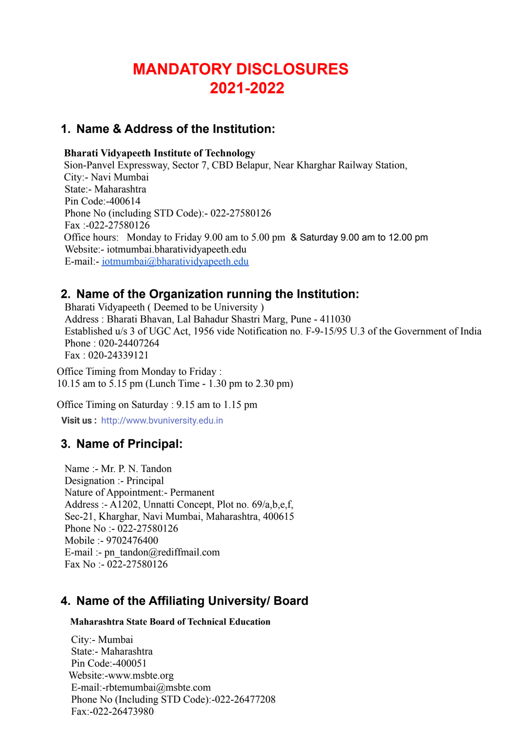# **MANDATORY DISCLOSURES 2021-2022**

# **1. Name & Address of the Institution:**

### **Bharati Vidyapeeth Institute of Technology**

Sion-Panvel Expressway, Sector 7, CBD Belapur, Near Kharghar Railway Station, City:- Navi Mumbai State:- Maharashtra Pin Code:-400614 Phone No (including STD Code):- 022-27580126 Fax :-022-27580126 Office hours: Monday to Friday 9.00 am to 5.00 pm & Saturday 9.00 am to 12.00 pm Website:- iotmumbai.bharatividyapeeth.edu E-mail:- [iotmumbai@bharatividyapeeth.edu](mailto:iotmumbai@bharatividyapeeth.edu)

# **2. Name of the Organization running the Institution:**

Bharati Vidyapeeth ( Deemed to be University ) Address : Bharati Bhavan, Lal Bahadur Shastri Marg, Pune - 411030 Established u/s 3 of UGC Act, 1956 vide Notification no. F-9-15/95 U.3 of the Government of India Phone : 020-24407264 Fax : 020-24339121

Office Timing from Monday to Friday : 10.15 am to 5.15 pm (Lunch Time - 1.30 pm to 2.30 pm)

Office Timing on Saturday : 9.15 am to 1.15 pm

**Visit us :** [http://www.bvuniversity.edu.in](http://www.bvuniversity.edu.in/)

# **3. Name of Principal:**

Name :- Mr. P. N. Tandon Designation :- Principal Nature of Appointment:- Permanent Address :- A1202, Unnatti Concept, Plot no. 69/a,b,e,f, Sec-21, Kharghar, Navi Mumbai, Maharashtra, 400615 Phone No :- 022-27580126 Mobile :- 9702476400 E-mail :- pn\_tandon@rediffmail.com Fax No :- 022-27580126

# **4. Name of the Affiliating University/ Board**

### **Maharashtra State Board of Technical Education**

City:- Mumbai State:- Maharashtra Pin Code:-400051 Website:-www.msbte.org E-mail:-rbtemumbai@msbte.com Phone No (Including STD Code):-022-26477208 Fax:-022-26473980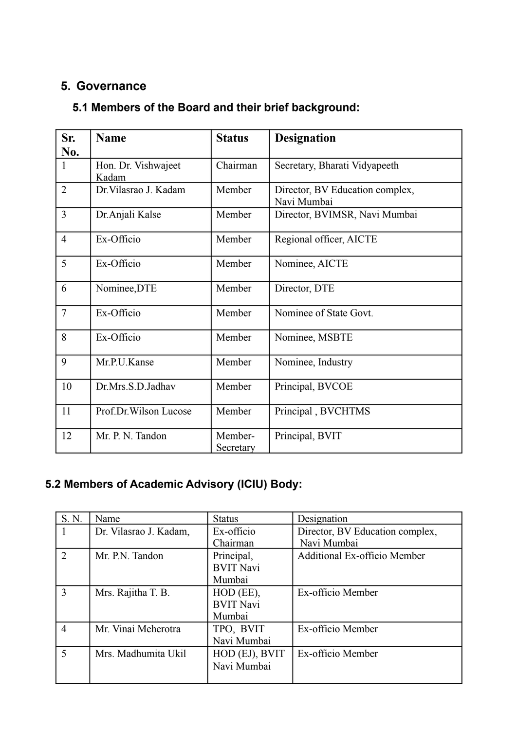# **5. Governance**

# **5.1 Members of the Board and their brief background:**

| Sr.<br>No.     | <b>Name</b>                  | <b>Status</b>        | <b>Designation</b>                             |
|----------------|------------------------------|----------------------|------------------------------------------------|
| $\mathbf{1}$   | Hon. Dr. Vishwajeet<br>Kadam | Chairman             | Secretary, Bharati Vidyapeeth                  |
| $\overline{2}$ | Dr. Vilasrao J. Kadam        | Member               | Director, BV Education complex,<br>Navi Mumbai |
| $\overline{3}$ | Dr. Anjali Kalse             | Member               | Director, BVIMSR, Navi Mumbai                  |
| $\overline{4}$ | Ex-Officio                   | Member               | Regional officer, AICTE                        |
| 5              | Ex-Officio                   | Member               | Nominee, AICTE                                 |
| 6              | Nominee, DTE                 | Member               | Director, DTE                                  |
| $\overline{7}$ | Ex-Officio                   | Member               | Nominee of State Govt.                         |
| 8              | Ex-Officio                   | Member               | Nominee, MSBTE                                 |
| 9              | Mr.P.U.Kanse                 | Member               | Nominee, Industry                              |
| 10             | Dr.Mrs.S.D.Jadhav            | Member               | Principal, BVCOE                               |
| 11             | Prof.Dr.Wilson Lucose        | Member               | Principal, BVCHTMS                             |
| 12             | Mr. P. N. Tandon             | Member-<br>Secretary | Principal, BVIT                                |

# **5.2 Members of Academic Advisory (ICIU) Body:**

| S. N.          | Name                   | <b>Status</b>    | Designation                         |
|----------------|------------------------|------------------|-------------------------------------|
|                | Dr. Vilasrao J. Kadam, | Ex-officio       | Director, BV Education complex,     |
|                |                        | Chairman         | Navi Mumbai                         |
| $\overline{2}$ | Mr. P.N. Tandon        | Principal,       | <b>Additional Ex-officio Member</b> |
|                |                        | <b>BVIT Navi</b> |                                     |
|                |                        | Mumbai           |                                     |
| 3              | Mrs. Rajitha T. B.     | HOD (EE),        | Ex-officio Member                   |
|                |                        | <b>BVIT Navi</b> |                                     |
|                |                        | Mumbai           |                                     |
| $\overline{4}$ | Mr. Vinai Meherotra    | TPO, BVIT        | Ex-officio Member                   |
|                |                        | Navi Mumbai      |                                     |
| 5              | Mrs. Madhumita Ukil    | HOD (EJ), BVIT   | Ex-officio Member                   |
|                |                        | Navi Mumbai      |                                     |
|                |                        |                  |                                     |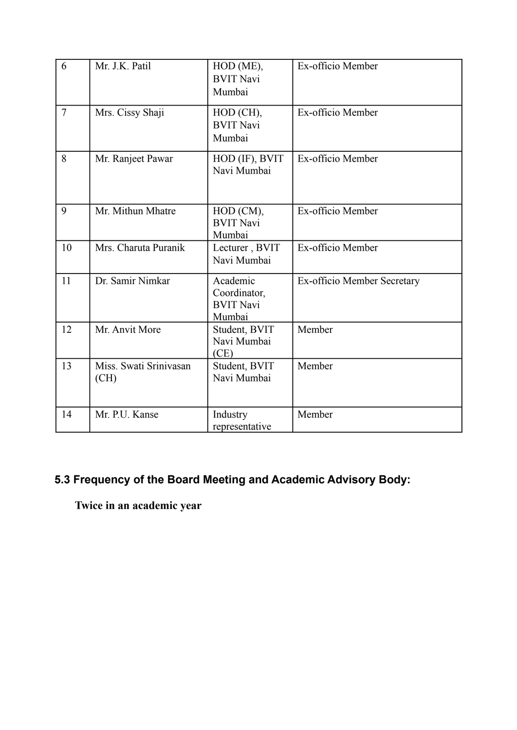| 6              | Mr. J.K. Patil                 | HOD (ME),<br><b>BVIT Navi</b><br>Mumbai                | Ex-officio Member           |
|----------------|--------------------------------|--------------------------------------------------------|-----------------------------|
| $\overline{7}$ | Mrs. Cissy Shaji               | HOD (CH),<br><b>BVIT Navi</b><br>Mumbai                | Ex-officio Member           |
| 8              | Mr. Ranjeet Pawar              | HOD (IF), BVIT<br>Navi Mumbai                          | Ex-officio Member           |
| 9              | Mr. Mithun Mhatre              | HOD (CM),<br><b>BVIT Navi</b><br>Mumbai                | Ex-officio Member           |
| 10             | Mrs. Charuta Puranik           | Lecturer, BVIT<br>Navi Mumbai                          | Ex-officio Member           |
| 11             | Dr. Samir Nimkar               | Academic<br>Coordinator,<br><b>BVIT Navi</b><br>Mumbai | Ex-officio Member Secretary |
| 12             | Mr. Anvit More                 | Student, BVIT<br>Navi Mumbai<br>(CE)                   | Member                      |
| 13             | Miss. Swati Srinivasan<br>(CH) | Student, BVIT<br>Navi Mumbai                           | Member                      |
| 14             | Mr. P.U. Kanse                 | Industry<br>representative                             | Member                      |

# **5.3 Frequency of the Board Meeting and Academic Advisory Body:**

**Twice in an academic year**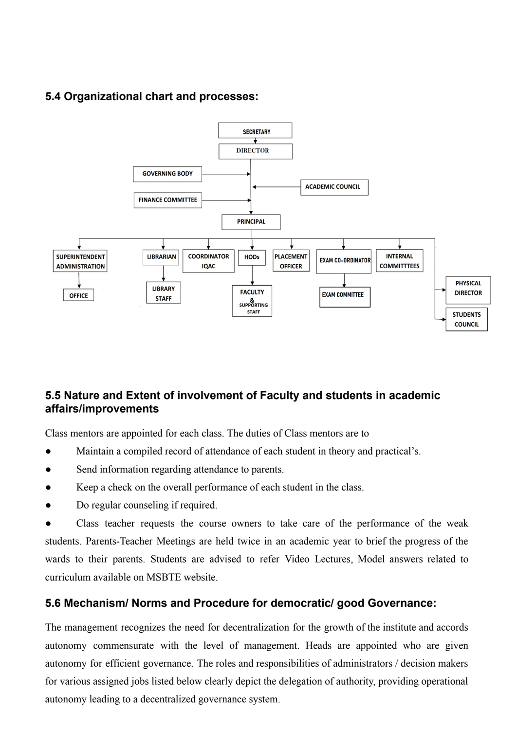# **5.4 Organizational chart and processes:**



# **5.5 Nature and Extent of involvement of Faculty and students in academic affairs/improvements**

Class mentors are appointed for each class. The duties of Class mentors are to

- Maintain a compiled record of attendance of each student in theory and practical's.
- Send information regarding attendance to parents.
- Keep a check on the overall performance of each student in the class.
- Do regular counseling if required.

Class teacher requests the course owners to take care of the performance of the weak students. Parents-Teacher Meetings are held twice in an academic year to brief the progress of the wards to their parents. Students are advised to refer Video Lectures, Model answers related to curriculum available on MSBTE website.

## **5.6 Mechanism/ Norms and Procedure for democratic/ good Governance:**

The management recognizes the need for decentralization for the growth of the institute and accords autonomy commensurate with the level of management. Heads are appointed who are given autonomy for efficient governance. The roles and responsibilities of administrators / decision makers for various assigned jobs listed below clearly depict the delegation of authority, providing operational autonomy leading to a decentralized governance system.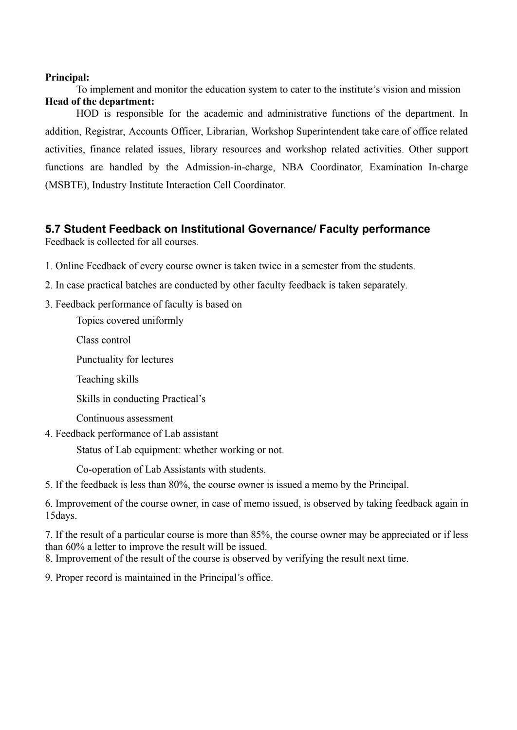### **Principal:**

To implement and monitor the education system to cater to the institute's vision and mission **Head of the department:**

HOD is responsible for the academic and administrative functions of the department. In addition, Registrar, Accounts Officer, Librarian, Workshop Superintendent take care of office related activities, finance related issues, library resources and workshop related activities. Other support functions are handled by the Admission-in-charge, NBA Coordinator, Examination In-charge (MSBTE), Industry Institute Interaction Cell Coordinator.

### **5.7 Student Feedback on Institutional Governance/ Faculty performance**

Feedback is collected for all courses.

- 1. Online Feedback of every course owner is taken twice in a semester from the students.
- 2. In case practical batches are conducted by other faculty feedback is taken separately.
- 3. Feedback performance of faculty is based on
	- Topics covered uniformly
	- Class control
	- Punctuality for lectures
	- Teaching skills
	- Skills in conducting Practical's
	- Continuous assessment
- 4. Feedback performance of Lab assistant

Status of Lab equipment: whether working or not.

Co-operation of Lab Assistants with students.

5. If the feedback is less than 80%, the course owner is issued a memo by the Principal.

6. Improvement of the course owner, in case of memo issued, is observed by taking feedback again in 15days.

7. If the result of a particular course is more than 85%, the course owner may be appreciated or if less than 60% a letter to improve the result will be issued.

8. Improvement of the result of the course is observed by verifying the result next time.

9. Proper record is maintained in the Principal's office.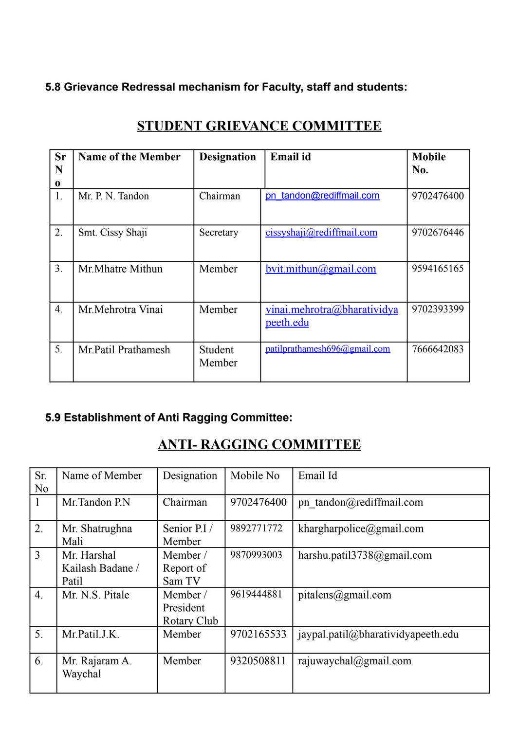# **5.8 Grievance Redressal mechanism for Faculty, staff and students:**

| <b>Sr</b>        | <b>Name of the Member</b> | <b>Designation</b>       | Email id                                 | <b>Mobile</b> |
|------------------|---------------------------|--------------------------|------------------------------------------|---------------|
| N                |                           |                          |                                          | No.           |
| $\bf{0}$         |                           |                          |                                          |               |
| 1.               | Mr. P. N. Tandon          | Chairman                 | pn tandon@rediffmail.com                 | 9702476400    |
| 2.               | Smt. Cissy Shaji          | Secretary                | $c$ issyshaji@rediffmail.com             | 9702676446    |
| 3.               | Mr. Mhatre Mithun         | Member                   | bvit.mithun@gmail.com                    | 9594165165    |
| $\overline{4}$ . | Mr. Mehrotra Vinai        | Member                   | vinai.mehrotra@bharatividya<br>peeth.edu | 9702393399    |
| 5.               | Mr. Patil Prathamesh      | <b>Student</b><br>Member | patilprathamesh696@gmail.com             | 7666642083    |

# **STUDENT GRIEVANCE COMMITTEE**

# **5.9 Establishment of Anti Ragging Committee:**

# **ANTI- RAGGING COMMITTEE**

| Sr.<br>N <sub>o</sub> | Name of Member                           | Designation                          | Mobile No  | Email Id                           |
|-----------------------|------------------------------------------|--------------------------------------|------------|------------------------------------|
| $\mathbf{1}$          | Mr.Tandon P.N                            | Chairman                             | 9702476400 | pn tandon@rediffmail.com           |
| 2.                    | Mr. Shatrughna<br>Mali                   | Senior P.I /<br>Member               | 9892771772 | khargharpolice@gmail.com           |
| $\overline{3}$        | Mr. Harshal<br>Kailash Badane /<br>Patil | Member/<br>Report of<br>Sam TV       | 9870993003 | harshu.patil $3738$ @gmail.com     |
| $\overline{4}$ .      | Mr. N.S. Pitale                          | Member /<br>President<br>Rotary Club | 9619444881 | pitalens@gmail.com                 |
| 5.                    | Mr.Patil.J.K.                            | Member                               | 9702165533 | jaypal.patil@bharatividyapeeth.edu |
| 6.                    | Mr. Rajaram A.<br>Waychal                | Member                               | 9320508811 | rajuwaychal@gmail.com              |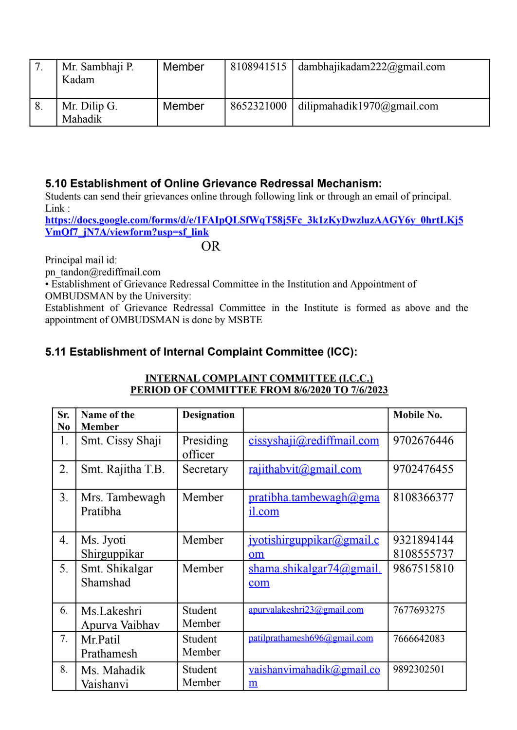| Mr. Sambhaji P.<br>Kadam | Member | 8108941515 | dambhajikadam $222$ @gmail.com |
|--------------------------|--------|------------|--------------------------------|
| Mr. Dilip G.<br>Mahadik  | Member | 8652321000 | dilipmahadik1970@gmail.com     |

## **5.10 Establishment of Online Grievance Redressal Mechanism:**

Students can send their grievances online through following link or through an email of principal. Link :

**[https://docs.google.com/forms/d/e/1FAIpQLSfWqT58j5Fc\\_3k1zKyDwzluzAAGY6y\\_0hrtLKj5](https://docs.google.com/forms/d/e/1FAIpQLSfWqT58j5Fc_3k1zKyDwzluzAAGY6y_0hrtLKj5VmQf7_jN7A/viewform?usp=sf_link) [VmQf7\\_jN7A/viewform?usp=sf\\_link](https://docs.google.com/forms/d/e/1FAIpQLSfWqT58j5Fc_3k1zKyDwzluzAAGY6y_0hrtLKj5VmQf7_jN7A/viewform?usp=sf_link)**

## OR

Principal mail id:

pn\_tandon@rediffmail.com

• Establishment of Grievance Redressal Committee in the Institution and Appointment of OMBUDSMAN by the University:

Establishment of Grievance Redressal Committee in the Institute is formed as above and the appointment of OMBUDSMAN is done by MSBTE

# **5.11 Establishment of Internal Complaint Committee (ICC):**

| Sr.              | Name of the                   | <b>Designation</b>   |                                         | <b>Mobile No.</b>        |
|------------------|-------------------------------|----------------------|-----------------------------------------|--------------------------|
| N <sub>0</sub>   | <b>Member</b>                 |                      |                                         |                          |
| 1.               | Smt. Cissy Shaji              | Presiding<br>officer | cissyshaji@rediffmail.com               | 9702676446               |
| 2.               | Smt. Rajitha T.B.             | Secretary            | <u>rajithabvit@gmail.com</u>            | 9702476455               |
| 3 <sub>1</sub>   | Mrs. Tambewagh<br>Pratibha    | Member               | <u>pratibha.tambewagh@gma</u><br>il.com | 8108366377               |
| $\overline{4}$ . | Ms. Jyoti<br>Shirguppikar     | Member               | <u>ivotishirguppikar@gmail.c</u><br>om  | 9321894144<br>8108555737 |
| 5.               | Smt. Shikalgar<br>Shamshad    | Member               | shama.shikalgar74@gmail.<br>com         | 9867515810               |
| 6.               | Ms.Lakeshri<br>Apurva Vaibhav | Student<br>Member    | apurvalakeshri23@gmail.com              | 7677693275               |
| 7.               | Mr.Patil<br>Prathamesh        | Student<br>Member    | patilprathamesh696@gmail.com            | 7666642083               |
| 8.               | Ms. Mahadik<br>Vaishanvi      | Student<br>Member    | vaishanvimahadik@gmail.co<br>m          | 9892302501               |

### **INTERNAL COMPLAINT COMMITTEE (I.C.C.) PERIOD OF COMMITTEE FROM 8/6/2020 TO 7/6/2023**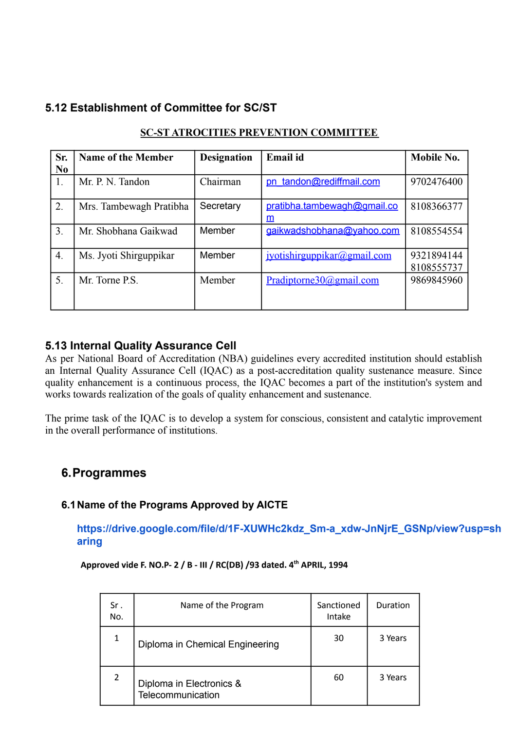# **5.12 Establishment of Committee for SC/ST**

| Sr.              | <b>Name of the Member</b> | <b>Designation</b> | Email id                         | Mobile No.               |
|------------------|---------------------------|--------------------|----------------------------------|--------------------------|
| N <sub>0</sub>   |                           |                    |                                  |                          |
| 1.               | Mr. P. N. Tandon          | Chairman           | pn tandon@rediffmail.com         | 9702476400               |
| 2.               | Mrs. Tambewagh Pratibha   | Secretary          | pratibha.tambewagh@gmail.co<br>m | 8108366377               |
| 3.               | Mr. Shobhana Gaikwad      | Member             | gaikwadshobhana@yahoo.com        | 8108554554               |
| $\overline{4}$ . | Ms. Jyoti Shirguppikar    | Member             | jyotishirguppikar@gmail.com      | 9321894144<br>8108555737 |
| 5.               | Mr. Torne P.S.            | Member             | Pradiptorne30@gmail.com          | 9869845960               |

### **SC-ST ATROCITIES PREVENTION COMMITTEE**

## **5.13 Internal Quality Assurance Cell**

As per National Board of Accreditation (NBA) guidelines every accredited institution should establish an Internal Quality Assurance Cell (IQAC) as a post-accreditation quality sustenance measure. Since quality enhancement is a continuous process, the IQAC becomes a part of the institution's system and works towards realization of the goals of quality enhancement and sustenance.

The prime task of the IQAC is to develop a system for conscious, consistent and catalytic improvement in the overall performance of institutions.

# **6.Programmes**

### **6.1Name of the Programs Approved by AICTE**

### **[https://drive.google.com/file/d/1F-XUWHc2kdz\\_Sm-a\\_xdw-JnNjrE\\_GSNp/view?usp=sh](https://drive.google.com/file/d/1F-XUWHc2kdz_Sm-a_xdw-JnNjrE_GSNp/view?usp=sharing) [aring](https://drive.google.com/file/d/1F-XUWHc2kdz_Sm-a_xdw-JnNjrE_GSNp/view?usp=sharing)**

**Approved vide F. NO.P- 2 / B - III / RC(DB) /93 dated. 4 th APRIL, 1994**

| Sr.<br>No. | Name of the Program                           | Sanctioned<br>Intake | Duration |
|------------|-----------------------------------------------|----------------------|----------|
| 1          | Diploma in Chemical Engineering               | 30                   | 3 Years  |
| 2          | Diploma in Electronics &<br>Telecommunication | 60                   | 3 Years  |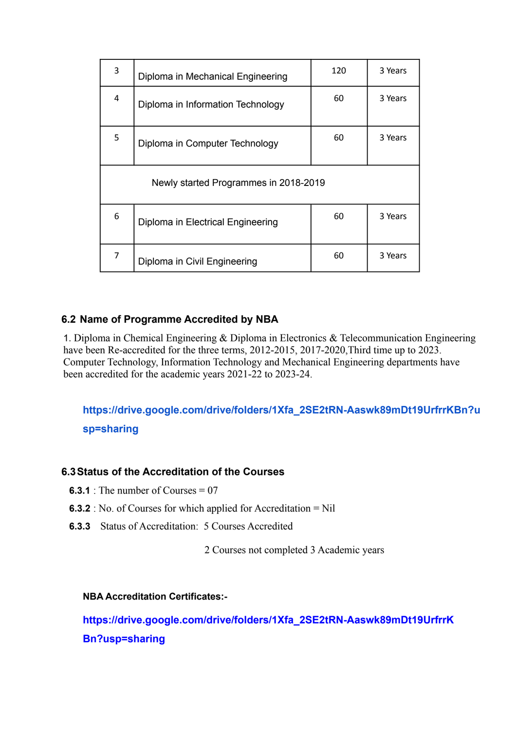| 3 | Diploma in Mechanical Engineering     | 120 | 3 Years |  |  |  |  |  |
|---|---------------------------------------|-----|---------|--|--|--|--|--|
| 4 | Diploma in Information Technology     | 60  | 3 Years |  |  |  |  |  |
| 5 | Diploma in Computer Technology        | 60  | 3 Years |  |  |  |  |  |
|   | Newly started Programmes in 2018-2019 |     |         |  |  |  |  |  |
| 6 | Diploma in Electrical Engineering     | 60  | 3 Years |  |  |  |  |  |
| 7 | Diploma in Civil Engineering          | 60  | 3 Years |  |  |  |  |  |

## **6.2 Name of Programme Accredited by NBA**

1. Diploma in Chemical Engineering & Diploma in Electronics & Telecommunication Engineering have been Re-accredited for the three terms, 2012-2015, 2017-2020,Third time up to 2023. Computer Technology, Information Technology and Mechanical Engineering departments have been accredited for the academic years 2021-22 to 2023-24.

# **[https://drive.google.com/drive/folders/1Xfa\\_2SE2tRN-Aaswk89mDt19UrfrrKBn?u](https://drive.google.com/drive/folders/1Xfa_2SE2tRN-Aaswk89mDt19UrfrrKBn?usp=sharing) [sp=sharing](https://drive.google.com/drive/folders/1Xfa_2SE2tRN-Aaswk89mDt19UrfrrKBn?usp=sharing)**

### **6.3Status of the Accreditation of the Courses**

- **6.3.1** : The number of Courses  $= 07$
- **6.3.2** : No. of Courses for which applied for Accreditation = Nil
- **6.3.3** Status of Accreditation: 5 Courses Accredited

2 Courses not completed 3 Academic years

### **NBA Accreditation Certificates:-**

**[https://drive.google.com/drive/folders/1Xfa\\_2SE2tRN-Aaswk89mDt19UrfrrK](https://drive.google.com/drive/folders/1Xfa_2SE2tRN-Aaswk89mDt19UrfrrKBn?usp=sharing) [Bn?usp=sharing](https://drive.google.com/drive/folders/1Xfa_2SE2tRN-Aaswk89mDt19UrfrrKBn?usp=sharing)**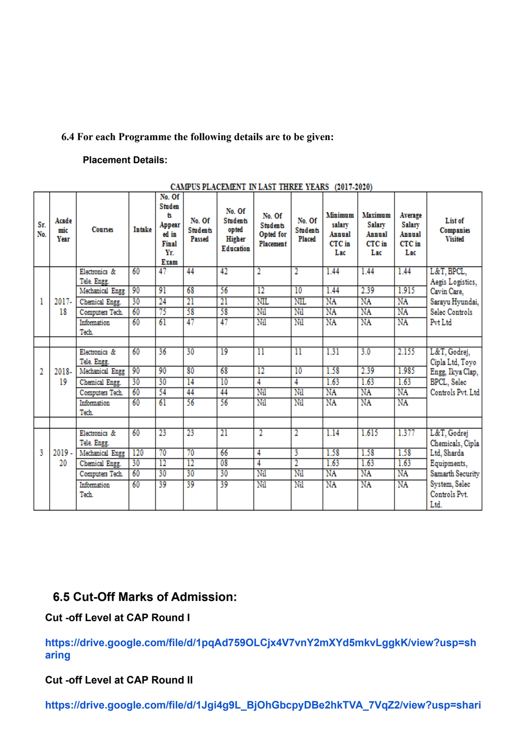### **6.4 For each Programme the following details are to be given:**

### **Placement Details:**

| Sr.<br>No.     | Acade<br>mic<br>Year | <b>Courses</b>               | <b>Intake</b> | No. Of<br>Studen<br>ts<br>Appear<br>ed in<br>Final<br>Yr.<br>Exam | No. Of<br><b>Students</b><br>Passed | No. Of<br><b>Students</b><br>opted<br>Higher<br><b>Education</b> | No. Of<br><b>Students</b><br><b>Opted</b> for<br>Placement | No. Of<br><b>Students</b><br>Placed | Minimum<br>salary<br>Annual<br>CTC in<br>Lac | Maximum<br>Salary<br>Annual<br>CTC in<br>Lac | Average<br>Salary<br>Annual<br>CTC in<br>Lac | List of<br>Companies<br><b>Visited</b> |
|----------------|----------------------|------------------------------|---------------|-------------------------------------------------------------------|-------------------------------------|------------------------------------------------------------------|------------------------------------------------------------|-------------------------------------|----------------------------------------------|----------------------------------------------|----------------------------------------------|----------------------------------------|
|                |                      | Electronics &                | 60            | 47                                                                | 44                                  | 42                                                               | 2                                                          | $\overline{2}$                      | 1.44                                         | 1.44                                         | 1.44                                         | L&T, BPCL,                             |
|                |                      | Tele. Engg.                  |               |                                                                   |                                     |                                                                  |                                                            |                                     |                                              |                                              |                                              | Aegis Logistics,                       |
|                |                      | Mechanical Engg              | 90            | 91                                                                | 68                                  | 56                                                               | 12                                                         | 10                                  | 1.44                                         | 2.39                                         | 1.915                                        | Cavin Care,                            |
| 1              | 2017-                | Chemical Engg.               | 30            | 24                                                                | $\overline{21}$                     | 21                                                               | <b>NIL</b>                                                 | <b>NIL</b>                          | NA                                           | NA                                           | NA                                           | Sarayu Hyundai,                        |
|                | 18                   | Computers Tech.              | 60            | 75                                                                | 58                                  | 58                                                               | Nil                                                        | Nil                                 | NA                                           | NA                                           | NA                                           | Selec Controls                         |
|                |                      | Information<br>Tech.         | 60            | 61                                                                | 47                                  | 47                                                               | Nil                                                        | Nil                                 | NA                                           | NA                                           | NA                                           | Pvt Ltd                                |
|                |                      |                              |               |                                                                   |                                     |                                                                  |                                                            |                                     |                                              |                                              |                                              |                                        |
|                |                      | Electronics &<br>Tele. Engg. | 60            | 36                                                                | 30                                  | 19                                                               | $\overline{\mathbf{1}}$                                    | $\overline{\mathbf{1}}$             | 1.31                                         | 3.0                                          | 2.155                                        | L&T, Godrej,<br>Cipla Ltd, Toyo        |
| $\overline{2}$ | 2018-                | Mechanical Engg              | 90            | 90                                                                | 80                                  | 68                                                               | $12 \,$                                                    | 10                                  | 1.58                                         | 2.39                                         | 1.985                                        | Engg, Ikya Clap,                       |
|                | 19                   | Chemical Engg.               | 30            | 30                                                                | $\overline{14}$                     | $\overline{10}$                                                  | 4                                                          | 4                                   | 1.63                                         | 1.63                                         | 1.63                                         | BPCL, Selec                            |
|                |                      | Computers Tech.              | 60            | 54                                                                | 44                                  | 44                                                               | Nil                                                        | Nil                                 | NA                                           | NA                                           | NA                                           | Controls Pvt. Ltd                      |
|                |                      | Information<br>Tech.         | 60            | 61                                                                | 56                                  | 56                                                               | Nil                                                        | Nil                                 | NA                                           | NA                                           | NA                                           |                                        |
|                |                      |                              |               |                                                                   |                                     |                                                                  |                                                            |                                     |                                              |                                              |                                              |                                        |
|                |                      | Electronics &<br>Tele. Engg. | 60            | 23                                                                | $\overline{23}$                     | $\overline{21}$                                                  | 2                                                          | 2                                   | 1.14                                         | 1.615                                        | 1.377                                        | L&T, Godrej<br>Chemicals, Cipla        |
| ٩              | $2019 -$             | Mechanical Engg              | 120           | 70                                                                | $\overline{70}$                     | 66                                                               | 4                                                          | 3                                   | 1.58                                         | 1.58                                         | 1.58                                         | Ltd, Sharda                            |
|                | 20                   | Chemical Engg.               | 30            | $\overline{12}$                                                   | $\overline{12}$                     | 08                                                               | 4                                                          | $\overline{2}$                      | 1.63                                         | 1.63                                         | 1.63                                         | Equipments,                            |
|                |                      | Computers Tech.              | 60            | 30                                                                | 30                                  | 30                                                               | Nil                                                        | Nil                                 | NA                                           | NA                                           | NA                                           | Samarth Security                       |
|                |                      | Information                  | 60            | 39                                                                | 39                                  | 39                                                               | Nil                                                        | Nil                                 | NA                                           | NA                                           | NA                                           | System, Selec                          |
|                |                      | Tech.                        |               |                                                                   |                                     |                                                                  |                                                            |                                     |                                              |                                              |                                              | Controls Pvt.<br>Ltd.                  |

**CAMPUS PLACEMENT IN LAST THREE VEARS (2017-2020)** 

# **6.5 Cut-Off Marks of Admission:**

**Cut -off Level at CAP Round I**

**[https://drive.google.com/file/d/1pqAd759OLCjx4V7vnY2mXYd5mkvLggkK/view?usp=sh](https://drive.google.com/file/d/1pqAd759OLCjx4V7vnY2mXYd5mkvLggkK/view?usp=sharing) [aring](https://drive.google.com/file/d/1pqAd759OLCjx4V7vnY2mXYd5mkvLggkK/view?usp=sharing)**

### **Cut -off Level at CAP Round II**

**[https://drive.google.com/file/d/1Jgi4g9L\\_BjOhGbcpyDBe2hkTVA\\_7VqZ2/view?usp=shari](https://drive.google.com/file/d/1Jgi4g9L_BjOhGbcpyDBe2hkTVA_7VqZ2/view?usp=sharing)**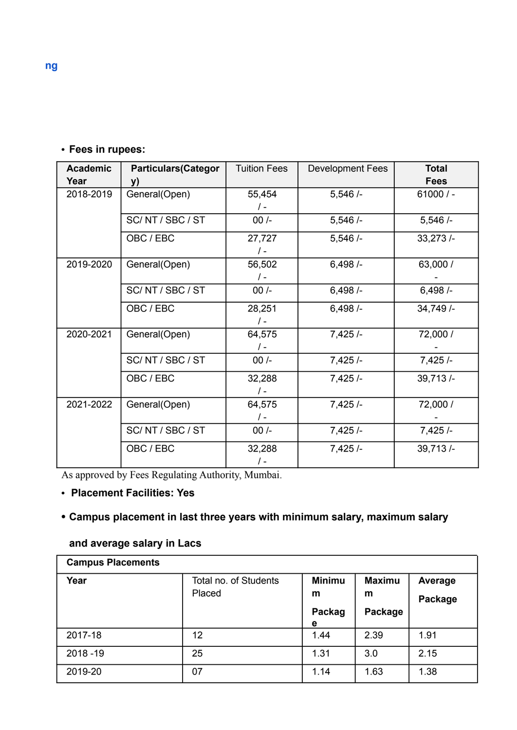# **• Fees in rupees:**

| <b>Academic</b> | <b>Particulars (Categor</b> | <b>Tuition Fees</b> | <b>Development Fees</b> | <b>Total</b> |
|-----------------|-----------------------------|---------------------|-------------------------|--------------|
| Year            | y)                          |                     |                         | <b>Fees</b>  |
| 2018-2019       | General(Open)               | 55,454              | 5,546/                  | $61000/$ -   |
|                 |                             | $\frac{1}{2}$       |                         |              |
|                 | SC/NT/SBC/ST                | $00/-$              | 5,546/                  | 5,546/       |
|                 | OBC / EBC                   | 27,727              | 5,546/                  | 33,273/      |
|                 |                             | $\frac{1}{2}$       |                         |              |
| 2019-2020       | General(Open)               | 56,502              | 6,498/                  | 63,000 /     |
|                 |                             | $\sqrt{-}$          |                         |              |
|                 | SC/NT/SBC/ST                | $00/-$              | 6,498/                  | 6,498/       |
|                 | OBC / EBC                   | 28,251              | 6,498/                  | 34,749/-     |
|                 |                             | $\frac{1}{2}$       |                         |              |
| 2020-2021       | General(Open)               | 64,575              | 7,425/                  | 72,000 /     |
|                 |                             | $\sqrt{-}$          |                         |              |
|                 | SC/NT/SBC/ST                | $00/-$              | 7,425/                  |              |
|                 | OBC / EBC                   | 32,288              | 7,425/                  | 39,713/      |
|                 |                             | $\sqrt{-}$          |                         |              |
| 2021-2022       | General(Open)               | 64,575              | 7,425/                  | 72,000 /     |
|                 |                             | $\sqrt{-}$          |                         |              |
|                 | SC/NT/SBC/ST                | $00/-$              | 7,425/                  | 7,425/       |
|                 | OBC / EBC                   | 32,288              | 7,425/                  | 39,713/      |
|                 |                             | $\prime$ -          |                         |              |

As approved by Fees Regulating Authority, Mumbai.

# **• Placement Facilities: Yes**

### **• Campus placement in last three years with minimum salary, maximum salary**

# **and average salary in Lacs**

| <b>Campus Placements</b> |                       |               |               |         |  |
|--------------------------|-----------------------|---------------|---------------|---------|--|
| Year                     | Total no. of Students | <b>Minimu</b> | <b>Maximu</b> | Average |  |
|                          | Placed                | m             | m             | Package |  |
|                          |                       | Packag        | Package       |         |  |
|                          |                       | е             |               |         |  |
| 2017-18                  | 12                    | 1.44          | 2.39          | 1.91    |  |
| $2018 - 19$              | 25                    | 1.31          | 3.0           | 2.15    |  |
| 2019-20                  | 07                    | 1.14          | 1.63          | 1.38    |  |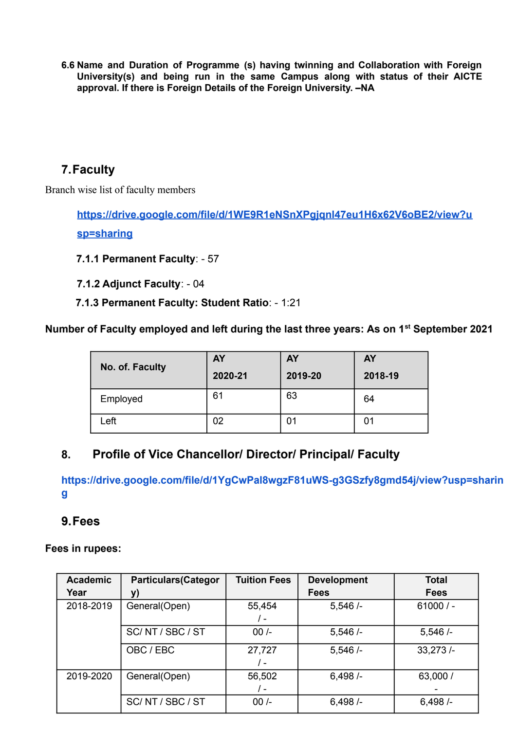**6.6 Name and Duration of Programme (s) having twinning and Collaboration with Foreign University(s) and being run in the same Campus along with status of their AICTE approval. If there is Foreign Details of the Foreign University. –NA**

# **7.Faculty**

Branch wise list of faculty members

**[https://drive.google.com/file/d/1WE9R1eNSnXPgjqnl47eu1H6x62V6oBE2/view?u](https://drive.google.com/file/d/1WE9R1eNSnXPgjqnl47eu1H6x62V6oBE2/view?usp=sharing) [sp=sharing](https://drive.google.com/file/d/1WE9R1eNSnXPgjqnl47eu1H6x62V6oBE2/view?usp=sharing)**

**7.1.1 Permanent Faculty**: - 57

**7.1.2 Adjunct Faculty**: - 04

**7.1.3 Permanent Faculty: Student Ratio**: - 1:21

### **Number of Faculty employed and left during the last three years: As on 1st September 2021**

| No. of. Faculty | <b>AY</b><br>2020-21 | <b>AY</b><br>2019-20 | <b>AY</b><br>2018-19 |
|-----------------|----------------------|----------------------|----------------------|
| Employed        | 61                   | 63                   | 64                   |
| Left            | 02                   | 01                   | 01                   |

# **8. Profile of Vice Chancellor/ Director/ Principal/ Faculty**

**[https://drive.google.com/file/d/1YgCwPal8wgzF81uWS-g3GSzfy8gmd54j/view?usp=sharin](https://drive.google.com/file/d/1YgCwPal8wgzF81uWS-g3GSzfy8gmd54j/view?usp=sharing) [g](https://drive.google.com/file/d/1YgCwPal8wgzF81uWS-g3GSzfy8gmd54j/view?usp=sharing)**

## **9.Fees**

### **Fees in rupees:**

| <b>Academic</b> | <b>Particulars (Categor</b> | <b>Tuition Fees</b> | <b>Development</b> | <b>Total</b> |
|-----------------|-----------------------------|---------------------|--------------------|--------------|
| Year            | y)                          |                     | <b>Fees</b>        | <b>Fees</b>  |
| 2018-2019       | General(Open)               | 55,454              | 5,546/             | $61000/$ -   |
|                 |                             | / -                 |                    |              |
|                 | SC/NT/SBC/ST                | $00/-$              | 5,546/             | 5,546/       |
|                 | OBC / EBC                   | 27,727              | 5,546/             | 33,273/      |
|                 |                             | $\prime$ -          |                    |              |
| 2019-2020       | General(Open)               | 56,502              | 6,498/             | 63,000 /     |
|                 |                             | $\prime$ -          |                    |              |
|                 | SC/NT/SBC/ST                | $00/-$              | 6,498/             | 6,498/       |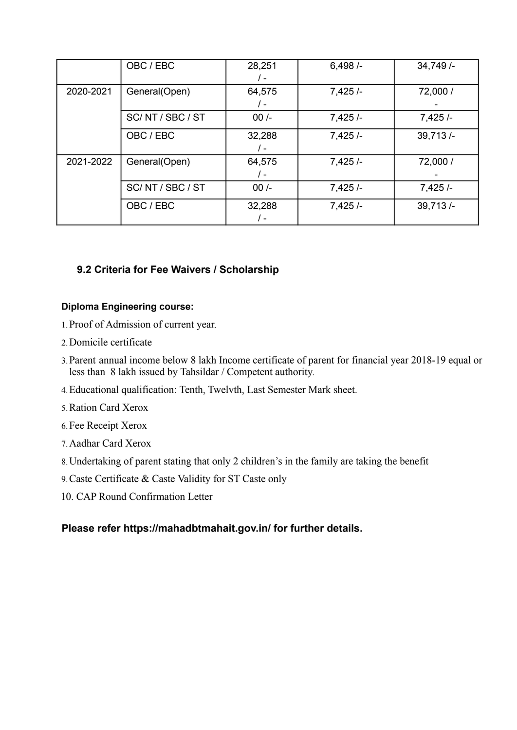|           | OBC / EBC     | 28,251<br>/ –        | 6,498/ | 34,749/  |
|-----------|---------------|----------------------|--------|----------|
| 2020-2021 | General(Open) | 64,575<br>/ -        | 7,425/ | 72,000 / |
|           | SC/NT/SBC/ST  | $00/-$               | 7,425/ | 7,425/   |
|           | OBC / EBC     | 32,288<br>/ -        | 7,425/ | 39,713/  |
| 2021-2022 | General(Open) | 64,575<br>$\sqrt{-}$ | 7,425/ | 72,000 / |
|           | SC/NT/SBC/ST  | $00/-$               | 7,425/ | 7,425/   |
|           | OBC / EBC     | 32,288<br>I –        | 7,425/ | 39,713/  |

### **9.2 Criteria for Fee Waivers / Scholarship**

### **Diploma Engineering course:**

- 1.Proof of Admission of current year.
- 2.Domicile certificate
- 3.Parent annual income below 8 lakh Income certificate of parent for financial year 2018-19 equal or less than 8 lakh issued by Tahsildar / Competent authority.
- 4.Educational qualification: Tenth, Twelvth, Last Semester Mark sheet.
- 5.Ration Card Xerox
- 6.Fee Receipt Xerox
- 7.Aadhar Card Xerox
- 8.Undertaking of parent stating that only 2 children's in the family are taking the benefit
- 9.Caste Certificate & Caste Validity for ST Caste only
- 10. CAP Round Confirmation Letter

### **Please refer <https://mahadbtmahait.gov.in/> for further details.**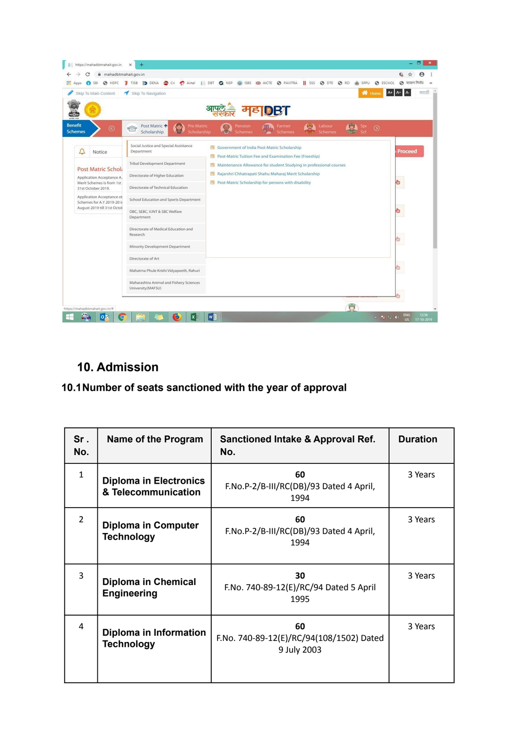

# **10. Admission**

### **10.1Number of seats sanctioned with the year of approval**

| Sr.<br>No.     | Name of the Program                                  | Sanctioned Intake & Approval Ref.<br>No.                      | <b>Duration</b> |
|----------------|------------------------------------------------------|---------------------------------------------------------------|-----------------|
| $\mathbf{1}$   | <b>Diploma in Electronics</b><br>& Telecommunication | 60<br>F.No.P-2/B-III/RC(DB)/93 Dated 4 April,<br>1994         | 3 Years         |
| $\overline{2}$ | <b>Diploma in Computer</b><br><b>Technology</b>      | 60<br>F.No.P-2/B-III/RC(DB)/93 Dated 4 April,<br>1994         | 3 Years         |
| 3              | Diploma in Chemical<br><b>Engineering</b>            | 30<br>F.No. 740-89-12(E)/RC/94 Dated 5 April<br>1995          | 3 Years         |
| 4              | Diploma in Information<br><b>Technology</b>          | 60<br>F.No. 740-89-12(E)/RC/94(108/1502) Dated<br>9 July 2003 | 3 Years         |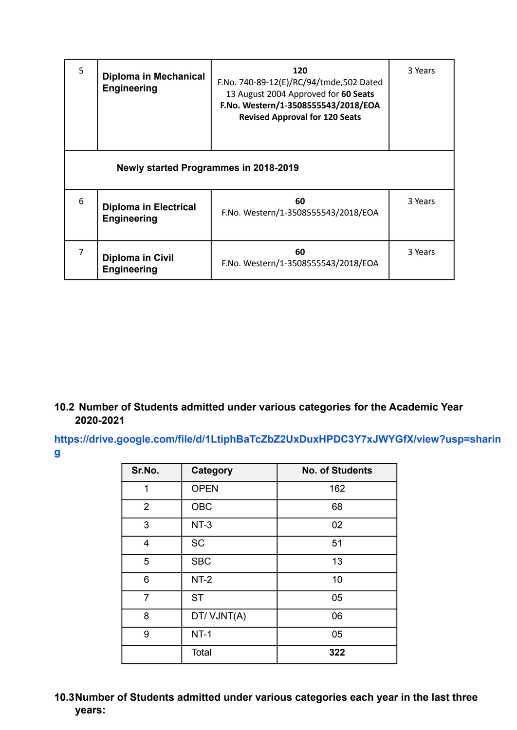| 5              | <b>Diploma in Mechanical</b><br><b>Engineering</b> | 120<br>F.No. 740-89-12(E)/RC/94/tmde,502 Dated<br>13 August 2004 Approved for 60 Seats<br>F.No. Western/1-3508555543/2018/EOA<br><b>Revised Approval for 120 Seats</b> | 3 Years |  |
|----------------|----------------------------------------------------|------------------------------------------------------------------------------------------------------------------------------------------------------------------------|---------|--|
|                | Newly started Programmes in 2018-2019              |                                                                                                                                                                        |         |  |
| 6              | <b>Diploma in Electrical</b><br><b>Engineering</b> | 60<br>F.No. Western/1-3508555543/2018/EOA                                                                                                                              | 3 Years |  |
| $\overline{7}$ | <b>Diploma in Civil</b><br><b>Engineering</b>      | 60<br>F.No. Western/1-3508555543/2018/EOA                                                                                                                              | 3 Years |  |

## **10.2 Number of Students admitted under various categories for the Academic Year 2020-2021**

**[https://drive.google.com/file/d/1LtiphBaTcZbZ2UxDuxHPDC3Y7xJWYGfX/view?usp=sharin](https://drive.google.com/file/d/1LtiphBaTcZbZ2UxDuxHPDC3Y7xJWYGfX/view?usp=sharing) [g](https://drive.google.com/file/d/1LtiphBaTcZbZ2UxDuxHPDC3Y7xJWYGfX/view?usp=sharing)**

| Sr.No.         | Category    | <b>No. of Students</b> |
|----------------|-------------|------------------------|
| 1              | <b>OPEN</b> | 162                    |
| $\overline{2}$ | OBC         | 68                     |
| 3              | $NT-3$      | 02                     |
| 4              | <b>SC</b>   | 51                     |
| 5              | <b>SBC</b>  | 13                     |
| 6              | $NT-2$      | 10                     |
| $\overline{7}$ | <b>ST</b>   | 05                     |
| 8              | DT/VJNT(A)  | 06                     |
| 9              | $NT-1$      | 05                     |
|                | Total       | 322                    |

## **10.3Number of Students admitted under various categories each year in the last three years:**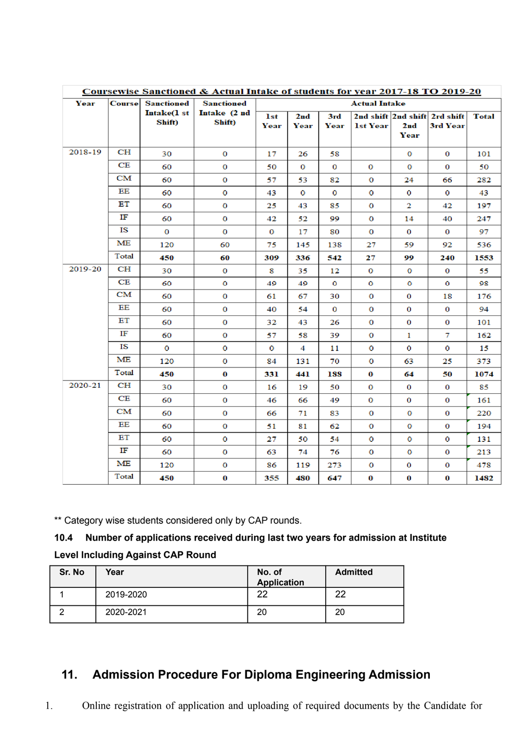|         | Coursewise Sanctioned & Actual Intake of students for year 2017-18 TO 2019-20 |                   |                   |      |                 |          |                      |                     |              |              |
|---------|-------------------------------------------------------------------------------|-------------------|-------------------|------|-----------------|----------|----------------------|---------------------|--------------|--------------|
| Year    | <b>Course</b>                                                                 | <b>Sanctioned</b> | <b>Sanctioned</b> |      |                 |          | <b>Actual Intake</b> |                     |              |              |
|         |                                                                               | Intake(1 st       | Intake (2 nd      | 1st  | 2 <sub>nd</sub> | 3rd      |                      | 2nd shift 2nd shift | 2rd shift    | <b>Total</b> |
|         |                                                                               | Shift)            | Shift)            | Year | Year            | Year     | <b>1st Year</b>      | 2 <sub>md</sub>     | 3rd Year     |              |
|         |                                                                               |                   |                   |      |                 |          |                      | Year                |              |              |
| 2018-19 | CH                                                                            | 30                | 0                 | 17   | 26              | 58       |                      | $\mathbf 0$         | $\bf{0}$     | 101          |
|         | CE                                                                            | 60                | $\bf{0}$          | 50   | 0               | 0        | 0                    | 0                   | 0            | 50           |
|         | CM                                                                            | 60                | $\mathbf 0$       | 57   | 53              | 82       | $\mathbf 0$          | 24                  | 66           | 282          |
|         | ΕE                                                                            | 60                | $\bullet$         | 43   | o               | $\circ$  | $\mathbf{o}$         | $\mathbf{o}$        | $\mathbf{o}$ | 43           |
|         | ЕΤ                                                                            | 60                | $\mathbf{o}$      | 25   | 43              | 85       | $\bf{o}$             | $\mathbf{2}$        | 42           | 197          |
|         | т                                                                             | 60                | $\mathbf 0$       | 42   | 52              | 99       | $\mathbf 0$          | 14                  | 40           | 247          |
|         | <b>IS</b>                                                                     | $\mathbf{O}$      | 0                 | 0    | 17              | 80       | 0                    | 0                   | $\bf{0}$     | 97           |
|         | МE                                                                            | 120               | 60                | 75   | 145             | 138      | 27                   | 59.                 | 92           | 536          |
|         | Total                                                                         | 450               | 60                | 309  | 336             | 542      | 27                   | 99                  | 240          | 1553         |
| 2019-20 | <b>CH</b>                                                                     | 30                | $\mathbf 0$       | 8    | 35.             | 12       | 0                    | $\bf{0}$            | 0            | 55           |
|         | CE                                                                            | 60                | o                 | 49   | 49.             | o        | $\mathbf{o}$         | o                   | o            | 98           |
|         | CМ                                                                            | 60                | $\mathbf{O}$      | 61   | 67              | 30       | $\bf{0}$             | $\bf{0}$            | 18           | 176          |
|         | EE                                                                            | 60                | $\bf{O}$          | 40   | 54              | $\bf{0}$ | $\bf{0}$             | $\bf{0}$            | $\bf{0}$     | 94           |
|         | ЕT                                                                            | 60                | $\bf{0}$          | 32   | 43              | 26       | $\bf{0}$             | $\bf{0}$            | $\bf{0}$     | 101          |
|         | IF                                                                            | 60                | $\mathbf 0$       | 57   | 58              | 39       | $\bf{0}$             | $\mathbf{1}$        | 7            | 162          |
|         | IS                                                                            | $\circ$           | $\circ$           | 0    | 4               | 11       | 0                    | 0                   | 0            | 15           |
|         | MЕ                                                                            | 120               | $\mathbf{o}$      | 84   | 131             | 70.      | $\circ$              | 63.                 | 25           | 373          |
|         | Total                                                                         | 450               | $\bf{0}$          | 331  | 441             | 188      | 0                    | 64                  | 50           | 1074         |
| 2020-21 | CH                                                                            | 30                | $\mathbf{O}$      | 16   | 19              | 50       | $\bf{0}$             | $\bf{0}$            | $\bf{0}$     | 85           |
|         | CE                                                                            | 60                | $\bf{0}$          | 46   | 66              | 49       | $\bf{0}$             | 0                   | $\bf{0}$     | 161          |
|         | CM                                                                            | 60                | $\bf{0}$          | 66   | 71              | 83       | $\bf{0}$             | $\bf{0}$            | $\bf{0}$     | 220          |
|         | EE                                                                            | 60                | 0                 | 51   | 81              | 62       | 0                    | $\bf{0}$            | $\bf{0}$     | 194          |
|         | ЕT                                                                            | 60                | $\mathbf{o}$      | 27   | 50.             | 54       | $\mathbf{o}$         | $\mathbf{o}$        | $\mathbf{o}$ | 131          |
|         | IF                                                                            | 60                | $\mathbf 0$       | 63   | 74              | 76       | 0                    | $\mathbf 0$         | 0            | 213          |
|         | MЕ                                                                            | 120               | $\mathbf 0$       | 86   | 119             | 273      | 0                    | 0                   | 0            | 478          |
|         | Total                                                                         | 450               | $\bf{0}$          | 355  | 480             | 647      | $\bf{0}$             | $\bf{0}$            | $\bf{0}$     | 1482         |

\*\* Category wise students considered only by CAP rounds.

# **10.4 Number of applications received during last two years for admission at Institute**

# **Level Including Against CAP Round**

| Sr. No | Year      | No. of<br><b>Application</b> | <b>Admitted</b> |
|--------|-----------|------------------------------|-----------------|
|        | 2019-2020 | າາ                           | つつ              |
|        | 2020-2021 | 20                           | 20              |

# **11. Admission Procedure For Diploma Engineering Admission**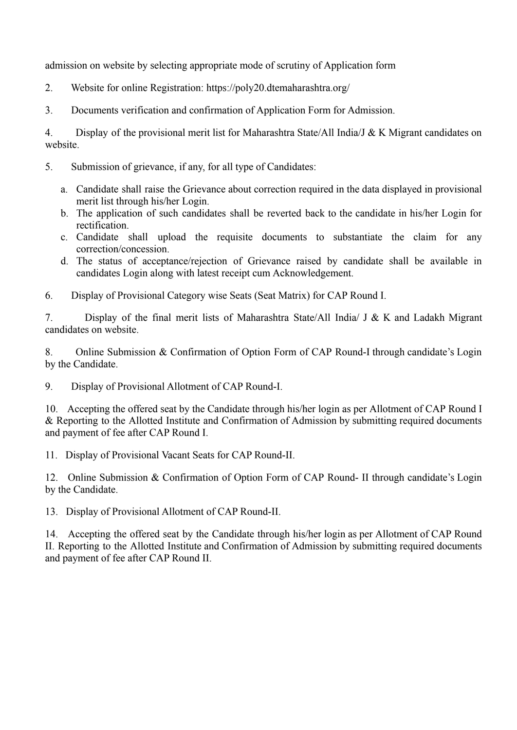admission on website by selecting appropriate mode of scrutiny of Application form

2. Website for online Registration: https://poly20.dtemaharashtra.org/

3. Documents verification and confirmation of Application Form for Admission.

4. Display of the provisional merit list for Maharashtra State/All India/J & K Migrant candidates on website.

- 5. Submission of grievance, if any, for all type of Candidates:
	- a. Candidate shall raise the Grievance about correction required in the data displayed in provisional merit list through his/her Login.
	- b. The application of such candidates shall be reverted back to the candidate in his/her Login for rectification.
	- c. Candidate shall upload the requisite documents to substantiate the claim for any correction/concession.
	- d. The status of acceptance/rejection of Grievance raised by candidate shall be available in candidates Login along with latest receipt cum Acknowledgement.
- 6. Display of Provisional Category wise Seats (Seat Matrix) for CAP Round I.

7. Display of the final merit lists of Maharashtra State/All India/ J & K and Ladakh Migrant candidates on website.

8. Online Submission & Confirmation of Option Form of CAP Round-I through candidate's Login by the Candidate.

9. Display of Provisional Allotment of CAP Round-I.

10. Accepting the offered seat by the Candidate through his/her login as per Allotment of CAP Round I & Reporting to the Allotted Institute and Confirmation of Admission by submitting required documents and payment of fee after CAP Round I.

11. Display of Provisional Vacant Seats for CAP Round-II.

12. Online Submission & Confirmation of Option Form of CAP Round- II through candidate's Login by the Candidate.

13. Display of Provisional Allotment of CAP Round-II.

14. Accepting the offered seat by the Candidate through his/her login as per Allotment of CAP Round II. Reporting to the Allotted Institute and Confirmation of Admission by submitting required documents and payment of fee after CAP Round II.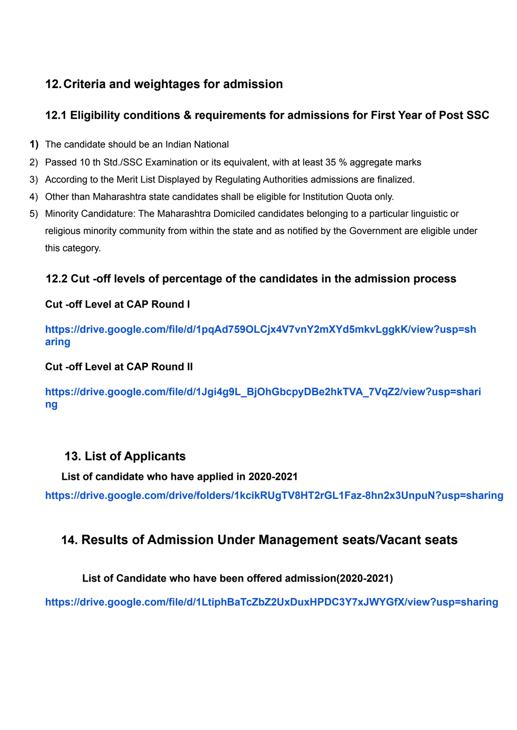# **12.Criteria and weightages for admission**

# **12.1 Eligibility conditions & requirements for admissions for First Year of Post SSC**

- **1)** The candidate should be an Indian National
- 2) Passed 10 th Std./SSC Examination or its equivalent, with at least 35 % aggregate marks
- 3) According to the Merit List Displayed by Regulating Authorities admissions are finalized.
- 4) Other than Maharashtra state candidates shall be eligible for Institution Quota only.
- 5) Minority Candidature: The Maharashtra Domiciled candidates belonging to a particular linguistic or religious minority community from within the state and as notified by the Government are eligible under this category.

# **12.2 Cut -off levels of percentage of the candidates in the admission process**

## **Cut -off Level at CAP Round I**

**[https://drive.google.com/file/d/1pqAd759OLCjx4V7vnY2mXYd5mkvLggkK/view?usp=sh](https://drive.google.com/file/d/1pqAd759OLCjx4V7vnY2mXYd5mkvLggkK/view?usp=sharing) [aring](https://drive.google.com/file/d/1pqAd759OLCjx4V7vnY2mXYd5mkvLggkK/view?usp=sharing)**

### **Cut -off Level at CAP Round II**

**[https://drive.google.com/file/d/1Jgi4g9L\\_BjOhGbcpyDBe2hkTVA\\_7VqZ2/view?usp=shari](https://drive.google.com/file/d/1Jgi4g9L_BjOhGbcpyDBe2hkTVA_7VqZ2/view?usp=sharing) [ng](https://drive.google.com/file/d/1Jgi4g9L_BjOhGbcpyDBe2hkTVA_7VqZ2/view?usp=sharing)**

# **13. List of Applicants**

**List of candidate who have applied in 2020-2021**

**<https://drive.google.com/drive/folders/1kcikRUgTV8HT2rGL1Faz-8hn2x3UnpuN?usp=sharing>**

# **14. Results of Admission Under Management seats/Vacant seats**

## **List of Candidate who have been offered admission(2020-2021)**

**<https://drive.google.com/file/d/1LtiphBaTcZbZ2UxDuxHPDC3Y7xJWYGfX/view?usp=sharing>**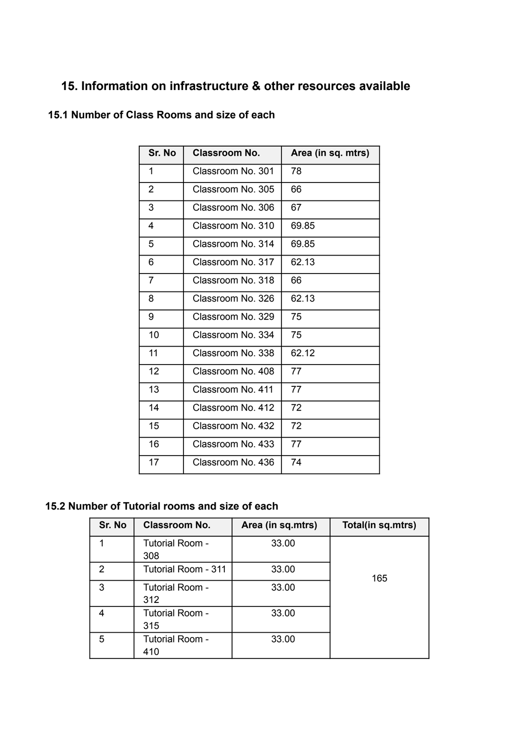# **15. Information on infrastructure & other resources available**

| Sr. No         | Classroom No.     | Area (in sq. mtrs) |
|----------------|-------------------|--------------------|
| 1              | Classroom No. 301 | 78                 |
| 2              | Classroom No. 305 | 66                 |
| 3              | Classroom No. 306 | 67                 |
| 4              | Classroom No. 310 | 69.85              |
| 5              | Classroom No. 314 | 69.85              |
| 6              | Classroom No. 317 | 62.13              |
| $\overline{7}$ | Classroom No. 318 | 66                 |
| 8              | Classroom No. 326 | 62.13              |
| 9              | Classroom No. 329 | 75                 |
| 10             | Classroom No. 334 | 75                 |
| 11             | Classroom No. 338 | 62.12              |
| 12             | Classroom No. 408 | 77                 |
| 13             | Classroom No. 411 | 77                 |
| 14             | Classroom No. 412 | 72                 |
| 15             | Classroom No. 432 | 72                 |
| 16             | Classroom No. 433 | 77                 |
| 17             | Classroom No. 436 | 74                 |

# **15.1 Number of Class Rooms and size of each**

# **15.2 Number of Tutorial rooms and size of each**

| Sr. No | <b>Classroom No.</b>   | Area (in sq.mtrs) | Total(in sq.mtrs) |
|--------|------------------------|-------------------|-------------------|
|        | Tutorial Room -<br>308 | 33.00             |                   |
| 2      | Tutorial Room - 311    | 33.00             | 165               |
| 3      | Tutorial Room -<br>312 | 33.00             |                   |
|        | Tutorial Room -<br>315 | 33.00             |                   |
| 5      | Tutorial Room -<br>410 | 33.00             |                   |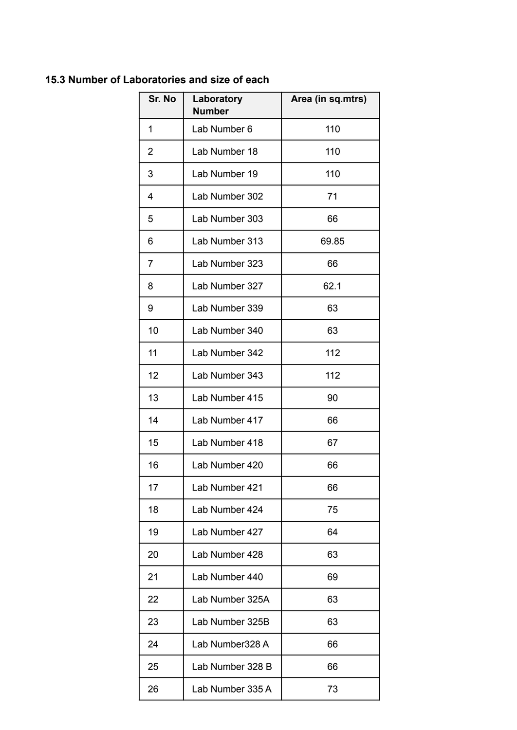## **15.3 Number of Laboratories and size of each**

| Sr. No | Laboratory<br><b>Number</b> | Area (in sq.mtrs) |
|--------|-----------------------------|-------------------|
| 1      | Lab Number 6                | 110               |
| 2      | Lab Number 18               | 110               |
| 3      | Lab Number 19               | 110               |
| 4      | Lab Number 302              | 71                |
| 5      | Lab Number 303              | 66                |
| 6      | Lab Number 313              | 69.85             |
| 7      | Lab Number 323              | 66                |
| 8      | Lab Number 327              | 62.1              |
| 9      | Lab Number 339              | 63                |
| 10     | Lab Number 340              | 63                |
| 11     | Lab Number 342              | 112               |
| 12     | Lab Number 343              | 112               |
| 13     | Lab Number 415              | 90                |
| 14     | Lab Number 417              | 66                |
| 15     | Lab Number 418              | 67                |
| 16     | Lab Number 420              | 66                |
| 17     | Lab Number 421              | 66                |
| 18     | Lab Number 424              | 75                |
| 19     | Lab Number 427              | 64                |
| 20     | Lab Number 428              | 63                |
| 21     | Lab Number 440              | 69                |
| 22     | Lab Number 325A             | 63                |
| 23     | Lab Number 325B             | 63                |
| 24     | Lab Number328 A             | 66                |
| 25     | Lab Number 328 B            | 66                |
| 26     | Lab Number 335 A            | 73                |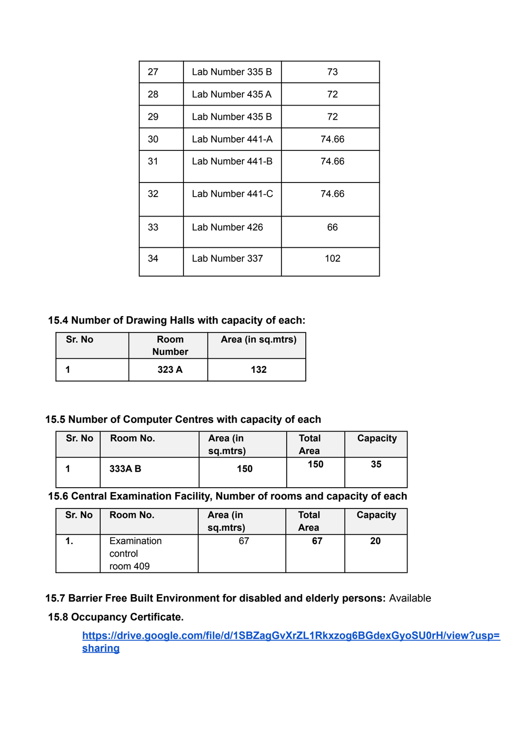| 27 | Lab Number 335 B | 73    |
|----|------------------|-------|
| 28 | Lab Number 435 A | 72    |
| 29 | Lab Number 435 B | 72    |
| 30 | Lab Number 441-A | 74.66 |
| 31 | Lab Number 441-B | 74.66 |
| 32 | Lab Number 441-C | 74.66 |
| 33 | Lab Number 426   | 66    |
| 34 | Lab Number 337   | 102   |

### **15.4 Number of Drawing Halls with capacity of each:**

| Sr. No | Room<br><b>Number</b> | Area (in sq.mtrs) |
|--------|-----------------------|-------------------|
|        | 323A                  | 132               |

### **15.5 Number of Computer Centres with capacity of each**

| Sr. No | Room No. | Area (in<br>sq.mtrs) | <b>Total</b><br>Area | Capacity |
|--------|----------|----------------------|----------------------|----------|
|        | 333A B   | 150                  | 150                  | 35       |

**15.6 Central Examination Facility, Number of rooms and capacity of each**

| Sr. No | Room No.                           | Area (in<br>sq.mtrs) | <b>Total</b><br><b>Area</b> | Capacity |
|--------|------------------------------------|----------------------|-----------------------------|----------|
|        | Examination<br>control<br>room 409 |                      | 67                          | 20       |

## **15.7 Barrier Free Built Environment for disabled and elderly persons:** Available

## **15.8 Occupancy Certificate.**

**[https://drive.google.com/file/d/1SBZagGvXrZL1Rkxzog6BGdexGyoSU0rH/view?usp=](https://drive.google.com/file/d/1SBZagGvXrZL1Rkxzog6BGdexGyoSU0rH/view?usp=sharing) [sharing](https://drive.google.com/file/d/1SBZagGvXrZL1Rkxzog6BGdexGyoSU0rH/view?usp=sharing)**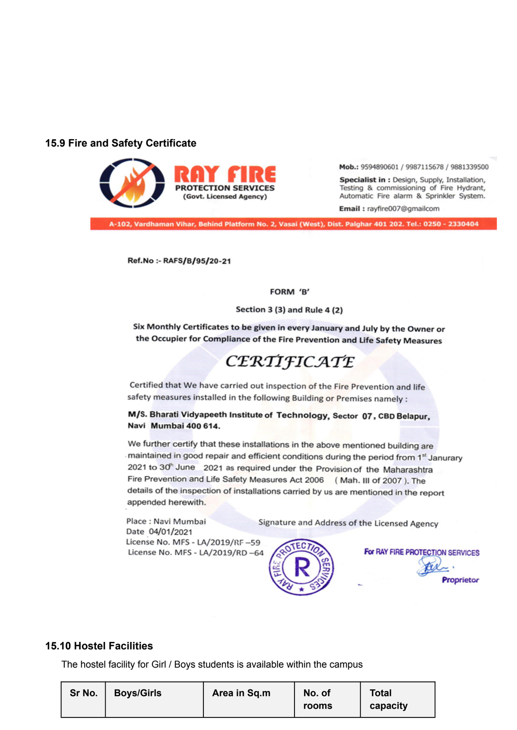### **15.9 Fire and Safety Certificate**



Mob.: 9594890601 / 9987115678 / 9881339500

Specialist in : Design, Supply, Installation, Testing & commissioning of Fire Hydrant, Automatic Fire alarm & Sprinkler System.

Email: rayfire007@gmailcom

A-102, Vardhaman Vihar, Behind Platform No. 2, Vasai (West), Dist. Palghar 401 202. Tel.: 0250 - 2330404

Ref.No :- RAFS/B/95/20-21

FORM 'B'

Section 3 (3) and Rule 4 (2)

Six Monthly Certificates to be given in every January and July by the Owner or the Occupier for Compliance of the Fire Prevention and Life Safety Measures

# CERTIFICATE

Certified that We have carried out inspection of the Fire Prevention and life safety measures installed in the following Building or Premises namely :

M/S. Bharati Vidyapeeth Institute of Technology, Sector 07, CBD Belapur, Navi Mumbai 400 614.

We further certify that these installations in the above mentioned building are maintained in good repair and efficient conditions during the period from 1<sup>st</sup> Janurary 2021 to 30<sup>h</sup> June 2021 as required under the Provision of the Maharashtra Fire Prevention and Life Safety Measures Act 2006 (Mah. III of 2007). The details of the inspection of installations carried by us are mentioned in the report appended herewith.

Signature and Address of the Licensed Agency

Place: Navi Mumbai Date 04/01/2021 License No. MFS - LA/2019/RF-59 License No. MFS - LA/2019/RD-64



Proprietor

### **15.10 Hostel Facilities**

The hostel facility for Girl / Boys students is available within the campus

| Sr No. | <b>Boys/Girls</b> | Area in Sq.m | No. of | <b>Total</b> |
|--------|-------------------|--------------|--------|--------------|
|        |                   |              | rooms  | capacity     |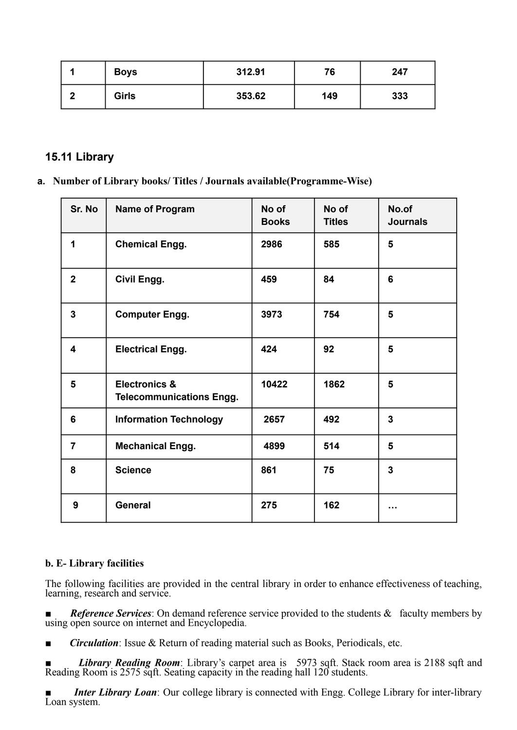| <b>Boys</b>  | 312.91 | 76  | 247 |
|--------------|--------|-----|-----|
| <b>Girls</b> | 353.62 | 149 | 333 |

### **15.11 Library**

**a. Number of Library books/ Titles / Journals available(Programme-Wise)**

| Sr. No                  | <b>Name of Program</b>                                      | No of<br><b>Books</b> | No of<br><b>Titles</b> | No.of<br><b>Journals</b> |
|-------------------------|-------------------------------------------------------------|-----------------------|------------------------|--------------------------|
| 1                       | <b>Chemical Engg.</b>                                       | 2986                  | 585                    | 5                        |
| $\overline{2}$          | Civil Engg.                                                 | 459                   | 84                     | 6                        |
| $\mathbf{3}$            | <b>Computer Engg.</b>                                       | 3973                  | 754                    | 5                        |
| $\overline{\mathbf{4}}$ | <b>Electrical Engg.</b>                                     | 424                   | 92                     | 5                        |
| 5                       | <b>Electronics &amp;</b><br><b>Telecommunications Engg.</b> | 10422                 | 1862                   | 5                        |
| 6                       | <b>Information Technology</b>                               | 2657                  | 492                    | 3                        |
| $\overline{7}$          | <b>Mechanical Engg.</b>                                     | 4899                  | 514                    | 5                        |
| 8                       | <b>Science</b>                                              | 861                   | 75                     | 3                        |
| 9                       | General                                                     | 275                   | 162                    |                          |

### **b. E- Library facilities**

The following facilities are provided in the central library in order to enhance effectiveness of teaching, learning, research and service.

*Reference Services*: On demand reference service provided to the students & faculty members by using open source on internet and Encyclopedia.

- *Circulation*: Issue & Return of reading material such as Books, Periodicals, etc.
- *Library Reading Room*: Library's carpet area is 5973 sqft. Stack room area is 2188 sqft and Reading Room is 2575 sqft. Seating capacity in the reading hall 120 students.

*Inter Library Loan*: Our college library is connected with Engg. College Library for inter-library Loan system.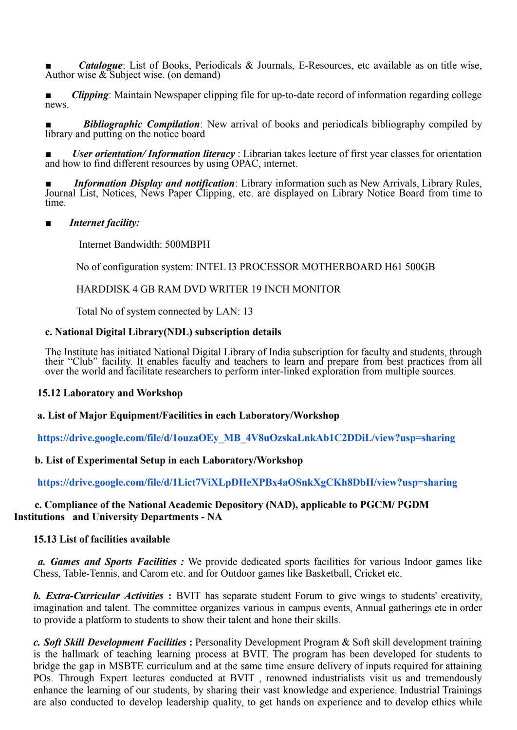*Catalogue*: List of Books, Periodicals & Journals, E-Resources, etc available as on title wise, Author wise & Subject wise. (on demand)

*Clipping*: Maintain Newspaper clipping file for up-to-date record of information regarding college news.

**Bibliographic Compilation**: New arrival of books and periodicals bibliography compiled by library and putting on the notice board

*User orientation/Information literacy* : Librarian takes lecture of first year classes for orientation and how to find different resources by using OPAC, internet.

*Information Display and notification*: Library information such as New Arrivals, Library Rules, Journal List, Notices, News Paper Clipping, etc. are displayed on Library Notice Board from time to time.

### *Internet facility:*

Internet Bandwidth: 500MBPH

No of configuration system: INTEL I3 PROCESSOR MOTHERBOARD H61 500GB

HARDDISK 4 GB RAM DVD WRITER 19 INCH MONITOR

Total No of system connected by LAN: 13

### **c. National Digital Library(NDL) subscription details**

The Institute has initiated National Digital Library of India subscription for faculty and students, through their "Club" facility. It enables faculty and teachers to learn and prepare from best practices from all over the world and facilitate researchers to perform inter-linked exploration from multiple sources.

#### **15.12 Laboratory and Workshop**

### **a. List of Major Equipment/Facilities in each Laboratory/Workshop**

**[https://drive.google.com/file/d/1ouzaOEy\\_MB\\_4V8uOzskaLnkAb1C2DDiL/view?usp=sharing](https://drive.google.com/file/d/1ouzaOEy_MB_4V8uOzskaLnkAb1C2DDiL/view?usp=sharing)**

### **b. List of Experimental Setup in each Laboratory/Workshop**

**<https://drive.google.com/file/d/1Lict7ViXLpDHeXPBx4aOSnkXgCKh8DbH/view?usp=sharing>**

### **c. Compliance of the National Academic Depository (NAD), applicable to PGCM/ PGDM Institutions and University Departments - NA**

### **15.13 List of facilities available**

*a. Games and Sports Facilities :* We provide dedicated sports facilities for various Indoor games like Chess, Table-Tennis, and Carom etc. and for Outdoor games like Basketball, Cricket etc.

*b. Extra-Curricular Activities* **:** BVIT has separate student Forum to give wings to students' creativity, imagination and talent. The committee organizes various in campus events, Annual gatherings etc in order to provide a platform to students to show their talent and hone their skills.

*c. Soft Skill Development Facilities* **:** Personality Development Program & Soft skill development training is the hallmark of teaching learning process at BVIT. The program has been developed for students to bridge the gap in MSBTE curriculum and at the same time ensure delivery of inputs required for attaining POs. Through Expert lectures conducted at BVIT , renowned industrialists visit us and tremendously enhance the learning of our students, by sharing their vast knowledge and experience. Industrial Trainings are also conducted to develop leadership quality, to get hands on experience and to develop ethics while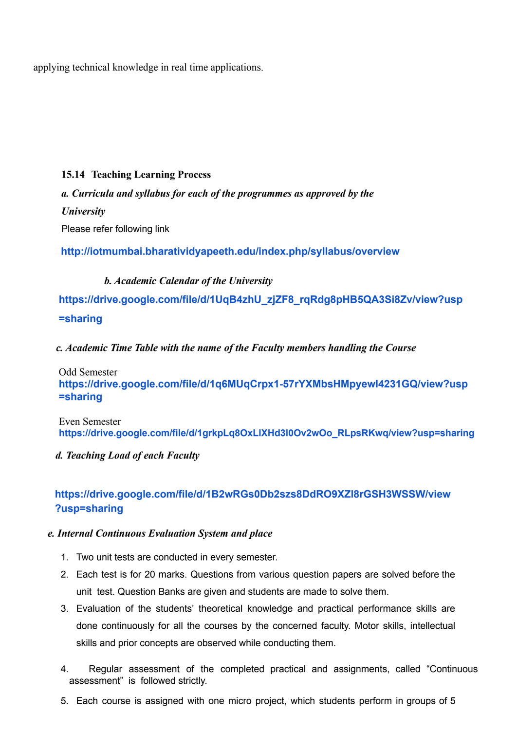applying technical knowledge in real time applications.

### **15.14 Teaching Learning Process**

*a. Curricula and syllabus for each of the programmes as approved by the University* Please refer following link

**<http://iotmumbai.bharatividyapeeth.edu/index.php/syllabus/overview>**

### *b. Academic Calendar of the University*

**[https://drive.google.com/file/d/1UqB4zhU\\_zjZF8\\_rqRdg8pHB5QA3Si8Zv/view?usp](https://drive.google.com/file/d/1UqB4zhU_zjZF8_rqRdg8pHB5QA3Si8Zv/view?usp=sharing) [=sharing](https://drive.google.com/file/d/1UqB4zhU_zjZF8_rqRdg8pHB5QA3Si8Zv/view?usp=sharing)**

*c. Academic Time Table with the name of the Faculty members handling the Course*

Odd Semester **[https://drive.google.com/file/d/1q6MUqCrpx1-57rYXMbsHMpyewI4231GQ/view?usp](https://drive.google.com/file/d/1q6MUqCrpx1-57rYXMbsHMpyewI4231GQ/view?usp=sharing) [=sharing](https://drive.google.com/file/d/1q6MUqCrpx1-57rYXMbsHMpyewI4231GQ/view?usp=sharing)**

Even Semester **https://drive.google.com/file/d/1grkpLq8OxLlXHd3l0Ov2wOo\_RLpsRKwq/view?usp=sharing**

*d. Teaching Load of each Faculty*

# **[https://drive.google.com/file/d/1B2wRGs0Db2szs8DdRO9XZl8rGSH3WSSW/view](https://drive.google.com/file/d/1B2wRGs0Db2szs8DdRO9XZl8rGSH3WSSW/view?usp=sharing) [?usp=sharing](https://drive.google.com/file/d/1B2wRGs0Db2szs8DdRO9XZl8rGSH3WSSW/view?usp=sharing)**

### *e. Internal Continuous Evaluation System and place*

- 1. Two unit tests are conducted in every semester.
- 2. Each test is for 20 marks. Questions from various question papers are solved before the unit test. Question Banks are given and students are made to solve them.
- 3. Evaluation of the students' theoretical knowledge and practical performance skills are done continuously for all the courses by the concerned faculty. Motor skills, intellectual skills and prior concepts are observed while conducting them.
- 4. Regular assessment of the completed practical and assignments, called "Continuous assessment" is followed strictly.
- 5. Each course is assigned with one micro project, which students perform in groups of 5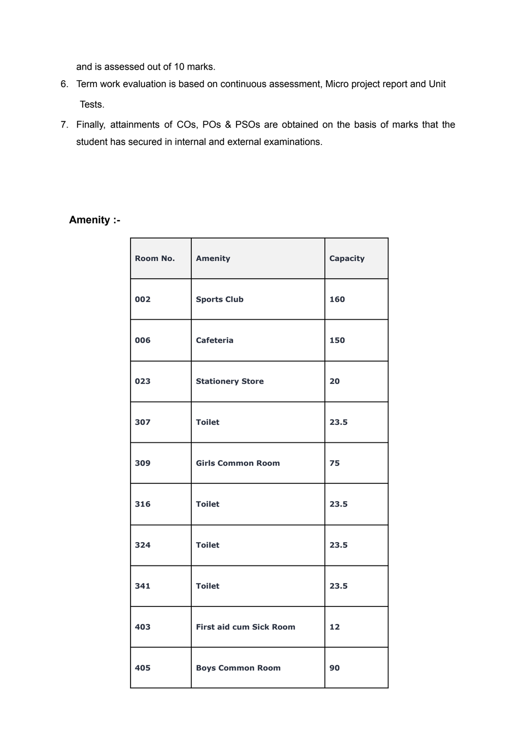and is assessed out of 10 marks.

- 6. Term work evaluation is based on continuous assessment, Micro project report and Unit Tests.
- 7. Finally, attainments of COs, POs & PSOs are obtained on the basis of marks that the student has secured in internal and external examinations.

# **Amenity :-**

| Room No. | Amenity                        | <b>Capacity</b> |
|----------|--------------------------------|-----------------|
| 002      | <b>Sports Club</b>             | 160             |
| 006      | <b>Cafeteria</b>               | 150             |
| 023      | <b>Stationery Store</b>        | 20              |
| 307      | <b>Toilet</b>                  | 23.5            |
| 309      | <b>Girls Common Room</b>       | 75              |
| 316      | <b>Toilet</b>                  | 23.5            |
| 324      | <b>Toilet</b>                  | 23.5            |
| 341      | <b>Toilet</b>                  | 23.5            |
| 403      | <b>First aid cum Sick Room</b> | 12              |
| 405      | <b>Boys Common Room</b>        | 90              |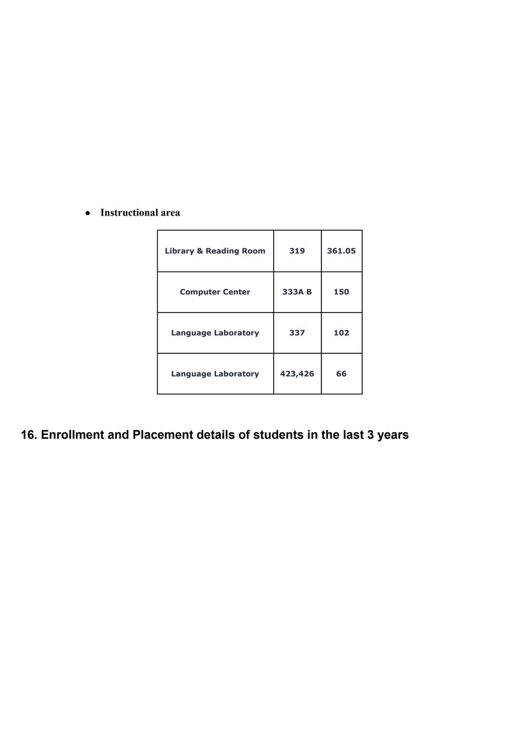### **● Instructional area**

| <b>Library &amp; Reading Room</b> | 319     | 361.05 |
|-----------------------------------|---------|--------|
| <b>Computer Center</b>            | 333A B  | 150    |
| <b>Language Laboratory</b>        | 337     | 102    |
| <b>Language Laboratory</b>        | 423,426 | 66     |

# **16. Enrollment and Placement details of students in the last 3 years**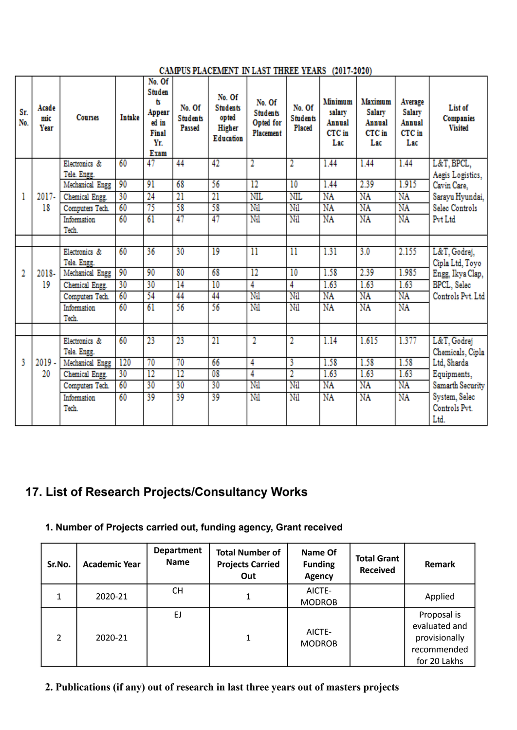| CAMPUS PLACEMENT IN LAST THREE YEARS (2017-2020) |
|--------------------------------------------------|
|--------------------------------------------------|

| Sr.<br>No. | Acade<br>mic<br>Year | <b>Courses</b>  | <b>Intake</b> | No. Of<br>Studen<br>t<br>Appear<br>ed in<br><b>Final</b><br>Yr<br>Exam | No. Of<br><b>Students</b><br>Passed | No. Of<br><b>Students</b><br>opted<br>Higher<br><b>Education</b> | No. Of<br><b>Students</b><br><b>Opted</b> for<br>Placement | No. Of<br><b>Students</b><br>Placed | Minimum<br>salarv<br>Annual<br>CTC in<br>Lac | Maximum<br><b>Salary</b><br>Annual<br>CTC in<br>Lac | Average<br>Salary<br>Annual<br>CTC in<br>Lac | List of<br><b>Companies</b><br><b>Visited</b> |
|------------|----------------------|-----------------|---------------|------------------------------------------------------------------------|-------------------------------------|------------------------------------------------------------------|------------------------------------------------------------|-------------------------------------|----------------------------------------------|-----------------------------------------------------|----------------------------------------------|-----------------------------------------------|
|            |                      | Electronics &   | 60            | 47                                                                     | 44                                  | 42                                                               | 2                                                          | $\overline{\mathbf{2}}$             | 1.44                                         | 1.44                                                | 1.44                                         | L&T, BPCL,                                    |
|            |                      | Tele. Engg.     |               |                                                                        |                                     |                                                                  |                                                            |                                     |                                              |                                                     |                                              | Aegis Logistics,                              |
|            |                      | Mechanical Engg | 90            | 91                                                                     | 68                                  | 56                                                               | $\overline{12}$                                            | 10                                  | 1.44                                         | 2.39                                                | 1.915                                        | Cavin Care,                                   |
| 1          | $2017 -$             | Chemical Engg.  | 30            | 24                                                                     | $\overline{21}$                     | $\overline{21}$                                                  | NIL                                                        | <b>NIL</b>                          | NA                                           | NA                                                  | NA                                           | Sarayu Hyundai,                               |
|            | 18                   | Computers Tech. | 60            | 75                                                                     | 58                                  | 58                                                               | Nil                                                        | Nil                                 | NA                                           | NA                                                  | NA                                           | Selec Controls                                |
|            |                      | Information     | 60            | 61                                                                     | 47                                  | 47                                                               | Nil                                                        | Nil                                 | NA                                           | NA                                                  | NA                                           | Pvt Ltd                                       |
|            |                      | Tech.           |               |                                                                        |                                     |                                                                  |                                                            |                                     |                                              |                                                     |                                              |                                               |
|            |                      |                 |               |                                                                        |                                     |                                                                  |                                                            |                                     |                                              |                                                     |                                              |                                               |
|            |                      | Electronics &   | 60            | 36                                                                     | 30                                  | 19                                                               | $\overline{\rm{11}}$                                       | $\overline{11}$                     | 1.31                                         | 3.0                                                 | 2.155                                        | L&T, Godrej,                                  |
|            |                      | Tele. Engg.     | 90            | 90                                                                     | 80                                  | 68                                                               | $\overline{12}$                                            | 10                                  | 1.58                                         | 2.39                                                | 1.985                                        | Cipla Ltd, Toyo                               |
| 2          | 2018-                | Mechanical Engg |               |                                                                        |                                     |                                                                  |                                                            |                                     |                                              |                                                     |                                              | Engg, Ikya Clap,                              |
|            | 19                   | Chemical Engg.  | 30            | 30                                                                     | 14                                  | 10                                                               | 4                                                          | 4                                   | 1.63                                         | 1.63                                                | 1.63                                         | BPCL, Selec                                   |
|            |                      | Computers Tech. | 60            | 54                                                                     | 44                                  | 44                                                               | Nil                                                        | Nil                                 | NA                                           | NA                                                  | NA                                           | Controls Pvt. Ltd                             |
|            |                      | Information     | 60            | 61                                                                     | 56                                  | 56                                                               | Nil                                                        | Nil                                 | NA                                           | NA                                                  | NA                                           |                                               |
|            |                      | Tech.           |               |                                                                        |                                     |                                                                  |                                                            |                                     |                                              |                                                     |                                              |                                               |
|            |                      | Electronics &   | 60            | 23                                                                     | 23                                  | 21                                                               | $\overline{\mathbf{2}}$                                    | $\overline{\mathbf{2}}$             | 1.14                                         | 1.615                                               | 1.377                                        |                                               |
|            |                      | Tele. Engg.     |               |                                                                        |                                     |                                                                  |                                                            |                                     |                                              |                                                     |                                              | L&T, Godrej                                   |
| ٩          | $2019 -$             | Mechanical Engg | 120           | 70                                                                     | 70                                  | 66                                                               | 4                                                          | 3                                   | 1.58                                         | 1.58                                                | 1.58                                         | Chemicals, Cipla<br>Ltd, Sharda               |
|            | 20                   | Chemical Engg.  | 30            | $\overline{12}$                                                        | $\overline{12}$                     | 08                                                               | 4                                                          | 2                                   | 1.63                                         | 1.63                                                | 1.63                                         | Equipments,                                   |
|            |                      | Computers Tech. | 60            | 30                                                                     | 30                                  | 30                                                               | Nil                                                        | Nil                                 | NA                                           | NA                                                  | NA                                           | Samarth Security                              |
|            |                      | Information     | 60            | 39                                                                     | 39                                  | 39                                                               | Nil                                                        | Nil                                 | NA                                           | NA                                                  | NA                                           | System, Selec                                 |
|            |                      | Tech.           |               |                                                                        |                                     |                                                                  |                                                            |                                     |                                              |                                                     |                                              | Controls Pvt.                                 |
|            |                      |                 |               |                                                                        |                                     |                                                                  |                                                            |                                     |                                              |                                                     |                                              | Ltd.                                          |
|            |                      |                 |               |                                                                        |                                     |                                                                  |                                                            |                                     |                                              |                                                     |                                              |                                               |

# **17. List of Research Projects/Consultancy Works**

## **1. Number of Projects carried out, funding agency, Grant received**

| Sr.No.        | <b>Academic Year</b> | <b>Department</b><br><b>Name</b> | <b>Total Number of</b><br><b>Projects Carried</b><br>Out | Name Of<br><b>Funding</b><br>Agency | <b>Total Grant</b><br><b>Received</b> | Remark                                                                       |
|---------------|----------------------|----------------------------------|----------------------------------------------------------|-------------------------------------|---------------------------------------|------------------------------------------------------------------------------|
|               | 2020-21              | СH                               |                                                          | AICTE-<br><b>MODROB</b>             |                                       | Applied                                                                      |
| $\mathcal{P}$ | 2020-21              | EJ                               |                                                          | AICTE-<br><b>MODROB</b>             |                                       | Proposal is<br>evaluated and<br>provisionally<br>recommended<br>for 20 Lakhs |

**2. Publications (if any) out of research in last three years out of masters projects**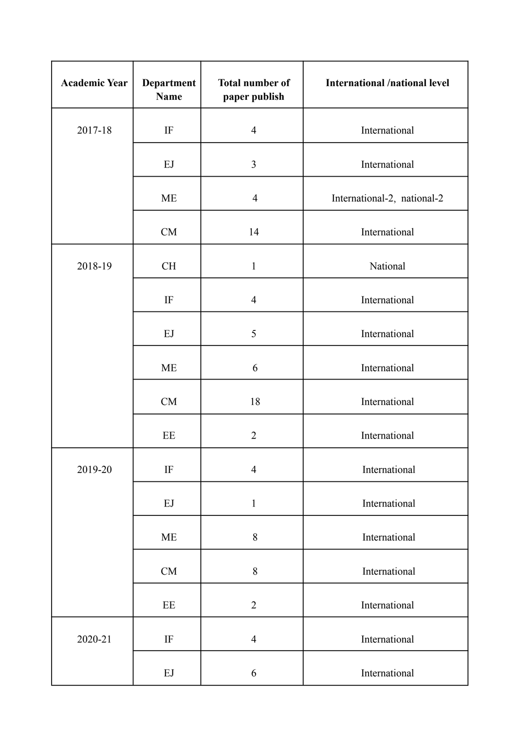| <b>Academic Year</b> | Department<br>Name                 | <b>Total number of</b><br>paper publish | <b>International /national level</b> |
|----------------------|------------------------------------|-----------------------------------------|--------------------------------------|
| 2017-18              | $\rm IF$                           | $\overline{4}$                          | International                        |
|                      | EJ                                 | $\overline{3}$                          | International                        |
|                      | <b>ME</b>                          | $\overline{4}$                          | International-2, national-2          |
|                      | CM                                 | 14                                      | International                        |
| 2018-19              | <b>CH</b>                          | $\mathbf{1}$                            | National                             |
|                      | $\rm IF$                           | $\overline{4}$                          | International                        |
|                      | EJ                                 | 5                                       | International                        |
|                      | <b>ME</b>                          | 6                                       | International                        |
|                      | CM                                 | 18                                      | International                        |
|                      | $\rm EE$                           | $\overline{2}$                          | International                        |
| 2019-20              | $\rm IF$                           | $\overline{4}$                          | International                        |
|                      | $\mathop{\hbox{\rm E}}\nolimits J$ | $\mathbf{1}$                            | International                        |
|                      | ME                                 | $8\,$                                   | International                        |
|                      | CM                                 | 8                                       | International                        |
|                      | $\rm EE$                           | $\overline{2}$                          | International                        |
| 2020-21              | $\rm IF$                           | $\overline{4}$                          | International                        |
|                      | EJ                                 | 6                                       | International                        |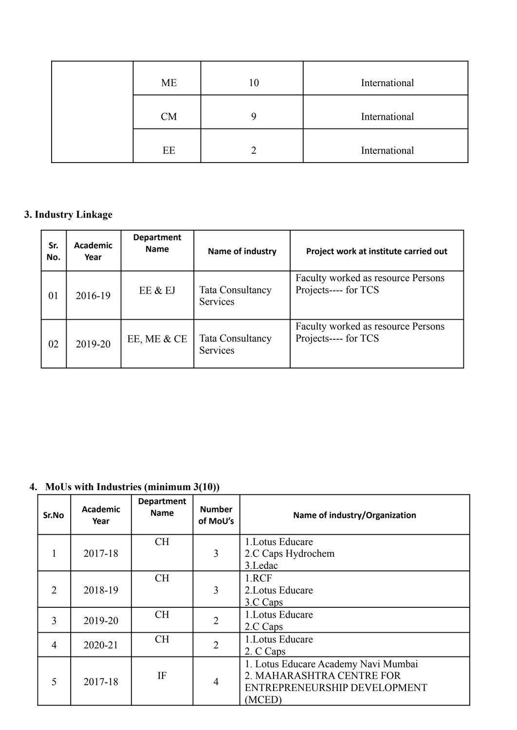| ME | 10 | International |
|----|----|---------------|
| CM |    | International |
| EE |    | International |

### **3. Industry Linkage**

| Sr.<br>No. | <b>Academic</b><br>Year | <b>Department</b><br><b>Name</b> | Name of industry                    | Project work at institute carried out                      |
|------------|-------------------------|----------------------------------|-------------------------------------|------------------------------------------------------------|
| 01         | 2016-19                 | EE & EJ                          | Tata Consultancy<br><b>Services</b> | Faculty worked as resource Persons<br>Projects---- for TCS |
| 02         | 2019-20                 | EE, ME & CE                      | <b>Tata Consultancy</b><br>Services | Faculty worked as resource Persons<br>Projects---- for TCS |

# **4. MoUs with Industries (minimum 3(10))**

| Sr.No          | <b>Academic</b><br>Year | <b>Department</b><br><b>Name</b> | <b>Number</b><br>of MoU's | Name of industry/Organization                                                                               |
|----------------|-------------------------|----------------------------------|---------------------------|-------------------------------------------------------------------------------------------------------------|
|                | 2017-18                 | <b>CH</b>                        | 3                         | 1. Lotus Educare<br>2.C Caps Hydrochem<br>3.Ledac                                                           |
| $\overline{2}$ | 2018-19                 | <b>CH</b>                        | 3                         | 1.RCF<br>2. Lotus Educare<br>3.C Caps                                                                       |
| 3              | 2019-20                 | <b>CH</b>                        | $\overline{2}$            | 1. Lotus Educare<br>2.C Caps                                                                                |
| $\overline{4}$ | 2020-21                 | <b>CH</b>                        | $\overline{2}$            | 1. Lotus Educare<br>2. C Caps                                                                               |
| 5              | 2017-18                 | IF                               | 4                         | 1. Lotus Educare Academy Navi Mumbai<br>2. MAHARASHTRA CENTRE FOR<br>ENTREPRENEURSHIP DEVELOPMENT<br>(MCED) |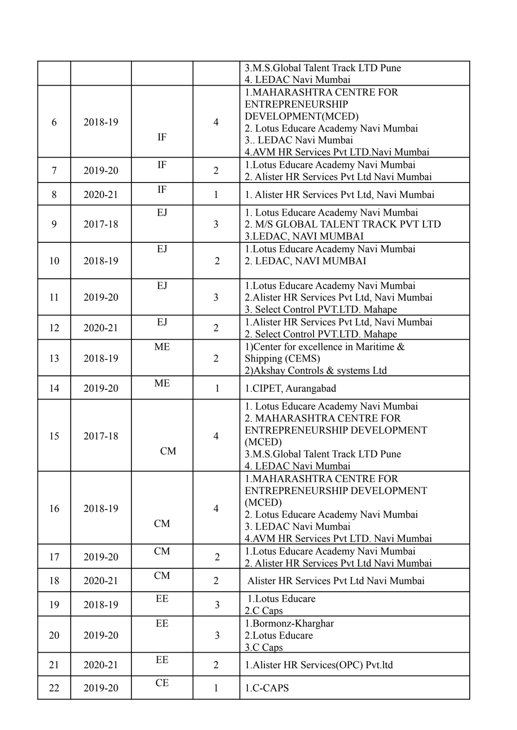|                |         |                          |                | 3.M.S.Global Talent Track LTD Pune<br>4. LEDAC Navi Mumbai                                                                                                                               |
|----------------|---------|--------------------------|----------------|------------------------------------------------------------------------------------------------------------------------------------------------------------------------------------------|
| 6              | 2018-19 | IF                       | $\overline{4}$ | <b>1.MAHARASHTRA CENTRE FOR</b><br><b>ENTREPRENEURSHIP</b><br>DEVELOPMENT(MCED)<br>2. Lotus Educare Academy Navi Mumbai<br>3. LEDAC Navi Mumbai<br>4.AVM HR Services Pvt LTD.Navi Mumbai |
| $\overline{7}$ | 2019-20 | $\rm IF$                 | $\overline{2}$ | 1. Lotus Educare Academy Navi Mumbai<br>2. Alister HR Services Pvt Ltd Navi Mumbai                                                                                                       |
| 8              | 2020-21 | $\rm IF$                 | $\mathbf{1}$   | 1. Alister HR Services Pvt Ltd, Navi Mumbai                                                                                                                                              |
| 9              | 2017-18 | EJ                       | $\overline{3}$ | 1. Lotus Educare Academy Navi Mumbai<br>2. M/S GLOBAL TALENT TRACK PVT LTD<br>3.LEDAC, NAVI MUMBAI                                                                                       |
| 10             | 2018-19 | EJ                       | $\overline{2}$ | 1. Lotus Educare Academy Navi Mumbai<br>2. LEDAC, NAVI MUMBAI                                                                                                                            |
| 11             | 2019-20 | EJ                       | $\overline{3}$ | 1. Lotus Educare Academy Navi Mumbai<br>2. Alister HR Services Pvt Ltd, Navi Mumbai<br>3. Select Control PVT.LTD. Mahape                                                                 |
| 12             | 2020-21 | $\mathop{\hbox{\rm EJ}}$ | $\overline{2}$ | 1. Alister HR Services Pvt Ltd, Navi Mumbai<br>2. Select Control PVT.LTD. Mahape                                                                                                         |
| 13             | 2018-19 | <b>ME</b>                | $\overline{2}$ | 1) Center for excellence in Maritime $\&$<br>Shipping (CEMS)<br>2) Akshay Controls & systems Ltd                                                                                         |
| 14             | 2019-20 | <b>ME</b>                | $\mathbf{1}$   | 1.CIPET, Aurangabad                                                                                                                                                                      |
| 15             | 2017-18 | <b>CM</b>                | $\overline{4}$ | 1. Lotus Educare Academy Navi Mumbai<br>2. MAHARASHTRA CENTRE FOR<br>ENTREPRENEURSHIP DEVELOPMENT<br>(MCED)<br>3.M.S.Global Talent Track LTD Pune<br>4. LEDAC Navi Mumbai                |
| 16             | 2018-19 | CM                       | $\overline{4}$ | <b>1.MAHARASHTRA CENTRE FOR</b><br>ENTREPRENEURSHIP DEVELOPMENT<br>(MCED)<br>2. Lotus Educare Academy Navi Mumbai<br>3. LEDAC Navi Mumbai<br>4. AVM HR Services Pvt LTD. Navi Mumbai     |
| 17             | 2019-20 | CM                       | $\overline{2}$ | 1. Lotus Educare Academy Navi Mumbai<br>2. Alister HR Services Pvt Ltd Navi Mumbai                                                                                                       |
| 18             | 2020-21 | CM                       | $\overline{2}$ | Alister HR Services Pvt Ltd Navi Mumbai                                                                                                                                                  |
| 19             | 2018-19 | EE                       | 3              | 1. Lotus Educare<br>2.C Caps                                                                                                                                                             |
| 20             | 2019-20 | EE                       | 3              | 1.Bormonz-Kharghar<br>2. Lotus Educare<br>3.C Caps                                                                                                                                       |
| 21             | 2020-21 | EE                       | $\overline{2}$ | 1. Alister HR Services (OPC) Pvt.ltd                                                                                                                                                     |
| 22             | 2019-20 | CE                       | $\mathbf{1}$   | 1.C-CAPS                                                                                                                                                                                 |